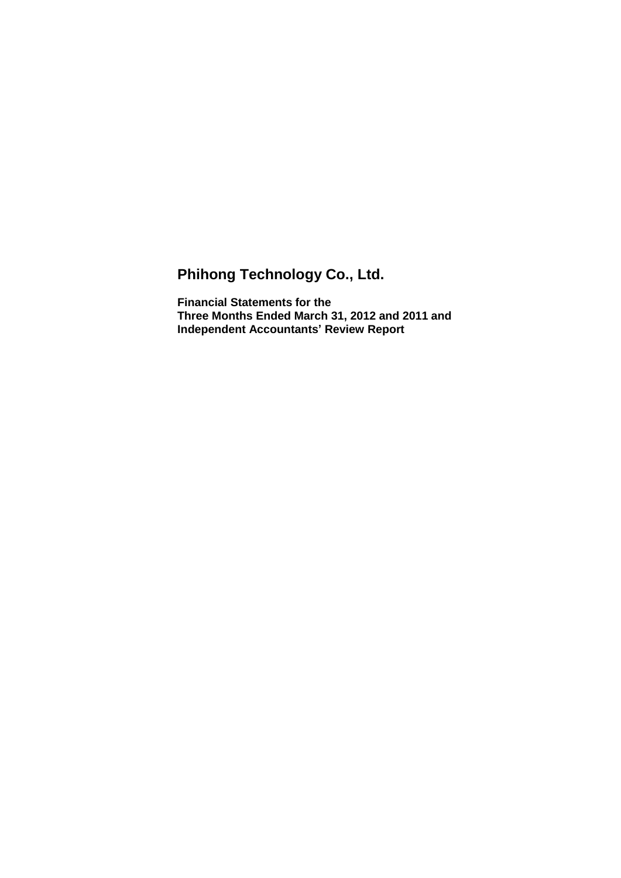# **Phihong Technology Co., Ltd.**

**Financial Statements for the Three Months Ended March 31, 2012 and 2011 and Independent Accountants' Review Report**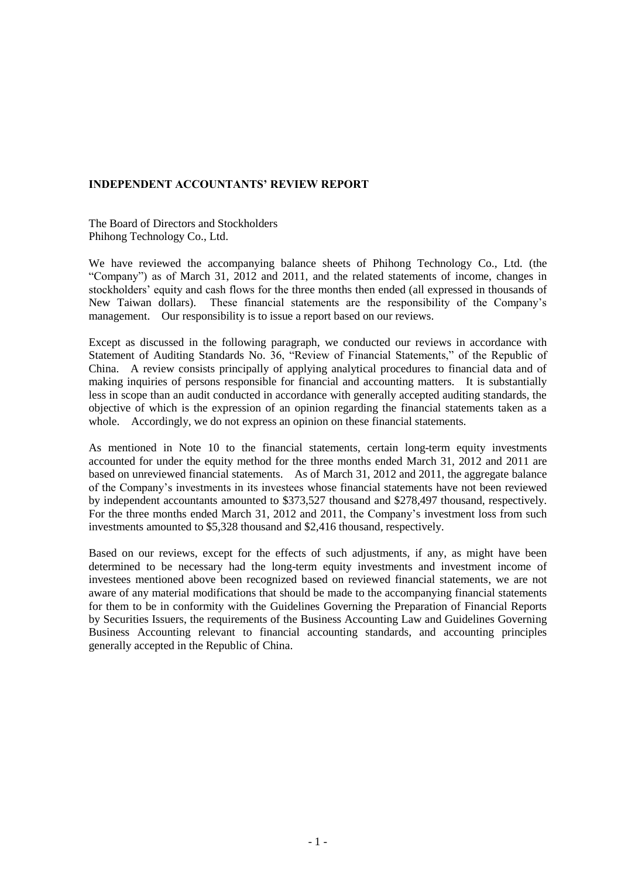## **INDEPENDENT ACCOUNTANTS' REVIEW REPORT**

The Board of Directors and Stockholders Phihong Technology Co., Ltd.

We have reviewed the accompanying balance sheets of Phihong Technology Co., Ltd. (the "Company") as of March 31, 2012 and 2011, and the related statements of income, changes in stockholders' equity and cash flows for the three months then ended (all expressed in thousands of New Taiwan dollars). These financial statements are the responsibility of the Company's management. Our responsibility is to issue a report based on our reviews.

Except as discussed in the following paragraph, we conducted our reviews in accordance with Statement of Auditing Standards No. 36, "Review of Financial Statements," of the Republic of China. A review consists principally of applying analytical procedures to financial data and of making inquiries of persons responsible for financial and accounting matters. It is substantially less in scope than an audit conducted in accordance with generally accepted auditing standards, the objective of which is the expression of an opinion regarding the financial statements taken as a whole. Accordingly, we do not express an opinion on these financial statements.

As mentioned in Note 10 to the financial statements, certain long-term equity investments accounted for under the equity method for the three months ended March 31, 2012 and 2011 are based on unreviewed financial statements. As of March 31, 2012 and 2011, the aggregate balance of the Company's investments in its investees whose financial statements have not been reviewed by independent accountants amounted to \$373,527 thousand and \$278,497 thousand, respectively. For the three months ended March 31, 2012 and 2011, the Company's investment loss from such investments amounted to \$5,328 thousand and \$2,416 thousand, respectively.

Based on our reviews, except for the effects of such adjustments, if any, as might have been determined to be necessary had the long-term equity investments and investment income of investees mentioned above been recognized based on reviewed financial statements, we are not aware of any material modifications that should be made to the accompanying financial statements for them to be in conformity with the Guidelines Governing the Preparation of Financial Reports by Securities Issuers, the requirements of the Business Accounting Law and Guidelines Governing Business Accounting relevant to financial accounting standards, and accounting principles generally accepted in the Republic of China.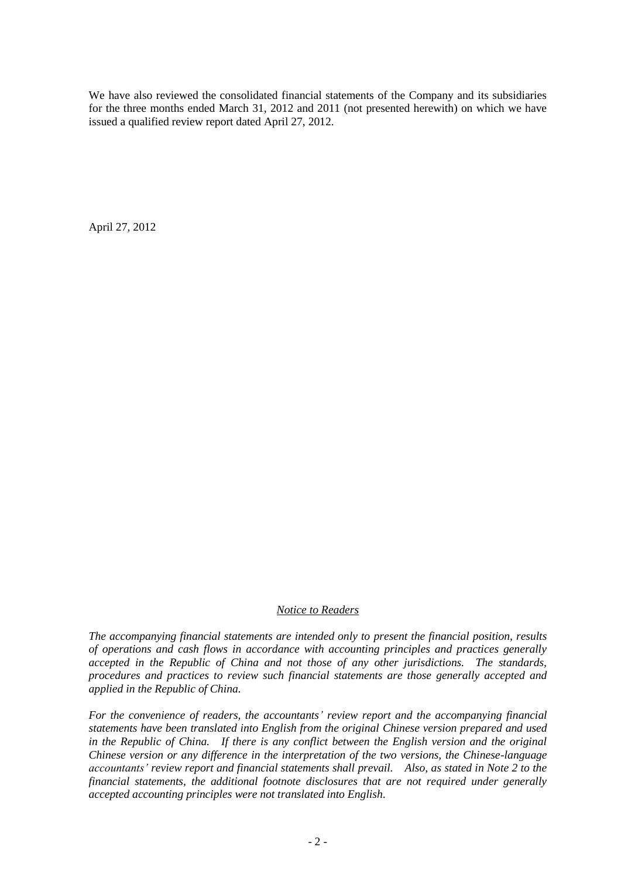We have also reviewed the consolidated financial statements of the Company and its subsidiaries for the three months ended March 31, 2012 and 2011 (not presented herewith) on which we have issued a qualified review report dated April 27, 2012.

April 27, 2012

### *Notice to Readers*

*The accompanying financial statements are intended only to present the financial position, results of operations and cash flows in accordance with accounting principles and practices generally accepted in the Republic of China and not those of any other jurisdictions. The standards, procedures and practices to review such financial statements are those generally accepted and applied in the Republic of China.*

*For the convenience of readers, the accountants' review report and the accompanying financial statements have been translated into English from the original Chinese version prepared and used in the Republic of China. If there is any conflict between the English version and the original Chinese version or any difference in the interpretation of the two versions, the Chinese-language accountants' review report and financial statements shall prevail. Also, as stated in Note 2 to the financial statements, the additional footnote disclosures that are not required under generally accepted accounting principles were not translated into English.*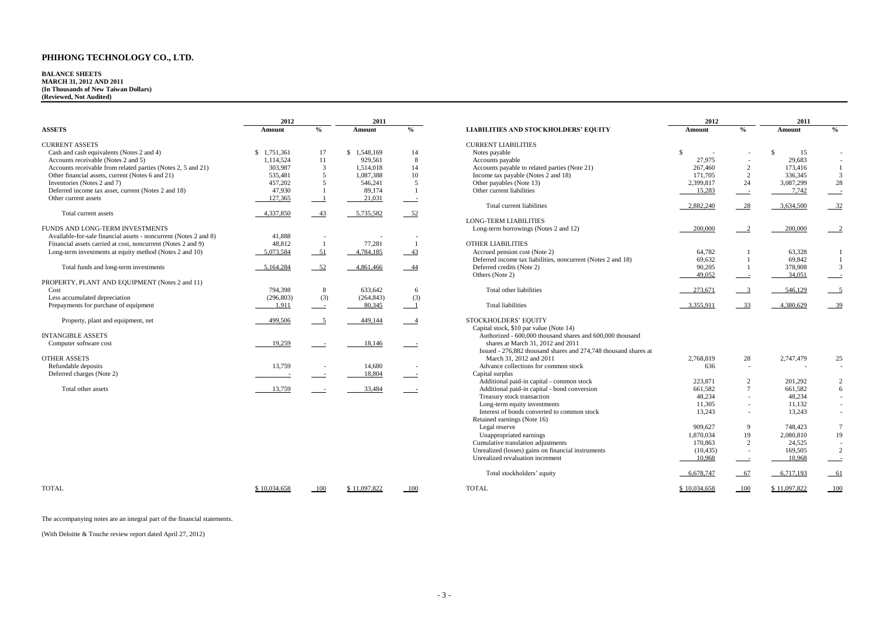#### **BALANCE SHEETS MARCH 31, 2012 AND 2011 (In Thousands of New Taiwan Dollars) (Reviewed, Not Audited)**

|                                                              | 2012      |                | 2011          |               |  |
|--------------------------------------------------------------|-----------|----------------|---------------|---------------|--|
| LITIES AND STOCKHOLDERS' EQUITY                              | Amount    | $\frac{0}{0}$  | <b>Amount</b> | $\frac{0}{0}$ |  |
| <b>ENT LIABILITIES</b>                                       |           |                |               |               |  |
| s payable                                                    | \$        |                | \$<br>15      |               |  |
| unts payable                                                 | 27.975    |                | 29.683        |               |  |
| unts payable to related parties (Note 21)                    | 267,460   | 2              | 173,416       |               |  |
| me tax payable (Notes 2 and 18)                              | 171,705   | $\overline{c}$ | 336,345       | 3             |  |
| r payables (Note 13)                                         | 2,399,817 | 24             | 3,087,299     | 28            |  |
| r current liabilities                                        | 15,283    |                | 7,742         |               |  |
| Total current liabilities                                    | 2,882,240 | $\frac{28}{2}$ | 3,634,500     | $-32$         |  |
| <b>TERM LIABILITIES</b>                                      |           |                |               |               |  |
| term borrowings (Notes 2 and 12)                             | 200,000   | 2              | 200,000       | 2             |  |
| <b>RELIABILITIES</b>                                         |           |                |               |               |  |
| ued pension cost (Note 2)                                    | 64,782    | 1              | 63,328        | 1             |  |
| rred income tax liabilities, noncurrent (Notes 2 and 18)     | 69,632    |                | 69,842        |               |  |
| rred credits (Note 2)                                        | 90,205    |                | 378,908       | 3             |  |
| rs (Note 2)                                                  | 49,052    |                | 34,051        |               |  |
| Total other liabilities                                      | 273,671   | 3              | 546,129       | <u>5</u>      |  |
| <b>Total liabilities</b>                                     | 3,355,911 | 33             | 4,380,629     | 39            |  |
| HOLDERS' EQUITY                                              |           |                |               |               |  |
| tal stock, \$10 par value (Note 14)                          |           |                |               |               |  |
| uthorized - 600,000 thousand shares and 600,000 thousand     |           |                |               |               |  |
| shares at March 31, 2012 and 2011                            |           |                |               |               |  |
| ued - 276,882 thousand shares and 274,748 thousand shares at |           |                |               |               |  |
| March 31, 2012 and 2011                                      | 2,768,819 | 28             | 2,747,479     | 25            |  |
| lvance collections for common stock                          | 636       |                |               |               |  |
| tal surplus                                                  |           |                |               |               |  |
| ditional paid-in capital - common stock                      | 223,871   | 2              | 201,292       | 2             |  |

| 636              |     |           |    |
|------------------|-----|-----------|----|
| 223,871          | 2   | 201,292   | 2  |
| 661,582          | 7   | 661,582   | 6  |
| 48,234           |     | 48,234    |    |
| 11,305           |     | 11,132    |    |
| 13,243           |     | 13,243    |    |
| 909,627          | 9   | 748,423   | 7  |
| 1,870,034        | 19  | 2,080,810 | 19 |
| 170,863          | 2   | 24,525    |    |
| (10, 435)        |     | 169,505   | 2  |
| 10,968           |     | 10,968    |    |
| 6,678,747        | 67  | 6,717,193 | 61 |
| 10,034,658<br>\$ | .00 | ,097,822  | 00 |
|                  |     |           |    |

| 2012<br>2011                                                     |              |                          | 2012         |                | 2011                                                            |              |                          |              |               |
|------------------------------------------------------------------|--------------|--------------------------|--------------|----------------|-----------------------------------------------------------------|--------------|--------------------------|--------------|---------------|
| <b>ASSETS</b>                                                    | Amount       | $\frac{6}{6}$            | Amount       | $\frac{0}{0}$  | <b>LIABILITIES AND STOCKHOLDERS' EQUITY</b>                     | Amount       | $\frac{6}{6}$            | Amount       | $\frac{0}{0}$ |
| <b>CURRENT ASSETS</b>                                            |              |                          |              |                | <b>CURRENT LIABILITIES</b>                                      |              |                          |              |               |
| Cash and cash equivalents (Notes 2 and 4)                        | \$1,751,361  | 17                       | \$1,548,169  | 14             | Notes payable                                                   | \$           |                          | 15           |               |
| Accounts receivable (Notes 2 and 5)                              | 1,114,524    | 11                       | 929,561      | 8              | Accounts payable                                                | 27,975       | $\overline{\phantom{a}}$ | 29,683       |               |
| Accounts receivable from related parties (Notes 2, 5 and 21)     | 303,987      | 3                        | 1,514,018    | 14             | Accounts payable to related parties (Note 21)                   | 267,460      | 2                        | 173,416      |               |
| Other financial assets, current (Notes 6 and 21)                 | 535,481      | 5 <sup>5</sup>           | 1.087.388    | 10             | Income tax payable (Notes 2 and 18)                             | 171.705      | 2                        | 336,345      |               |
| Inventories (Notes 2 and 7)                                      | 457,202      | 5                        | 546,241      | 5              | Other payables (Note 13)                                        | 2,399,817    | 24                       | 3,087,299    | 28            |
| Deferred income tax asset, current (Notes 2 and 18)              | 47,930       |                          | 89,174       |                | Other current liabilities                                       | 15,283       | $\overline{\phantom{0}}$ | 7,742        |               |
| Other current assets                                             | 127,365      |                          | 21,031       |                |                                                                 |              |                          |              |               |
|                                                                  |              |                          |              |                | Total current liabilities                                       | 2,882,240    | $-28$                    | 3,634,500    |               |
| Total current assets                                             | 4,337,850    | $-43$                    | 5,735,582    | $-52$          |                                                                 |              |                          |              |               |
|                                                                  |              |                          |              |                | <b>LONG-TERM LIABILITIES</b>                                    |              |                          |              |               |
| FUNDS AND LONG-TERM INVESTMENTS                                  |              |                          |              |                | Long-term borrowings (Notes 2 and 12)                           | 200,000      | $\overline{2}$           | 200,000      |               |
| Available-for-sale financial assets - noncurrent (Notes 2 and 8) | 41,888       | $\overline{\phantom{a}}$ |              |                |                                                                 |              |                          |              |               |
| Financial assets carried at cost, noncurrent (Notes 2 and 9)     | 48,812       | $\overline{1}$           | 77,281       | $\overline{1}$ | <b>OTHER LIABILITIES</b>                                        |              |                          |              |               |
| Long-term investments at equity method (Notes 2 and 10)          | 5,073,584    | $-51$                    | 4,784,185    | $-43$          | Accrued pension cost (Note 2)                                   | 64,782       |                          | 63,328       |               |
|                                                                  |              |                          |              |                | Deferred income tax liabilities, noncurrent (Notes 2 and 18)    | 69,632       | $\mathbf{1}$             | 69,842       |               |
| Total funds and long-term investments                            | 5,164,284    | $-52$                    | 4,861,466    | $-44$          | Deferred credits (Note 2)                                       | 90,205       | $\mathbf{1}$             | 378,908      |               |
|                                                                  |              |                          |              |                | Others (Note 2)                                                 | 49,052       | $\sim$ $-$               | 34,051       |               |
| PROPERTY, PLANT AND EQUIPMENT (Notes 2 and 11)                   |              |                          |              |                |                                                                 |              |                          |              |               |
| Cost                                                             | 794,398      | 8                        | 633,642      | 6              | Total other liabilities                                         | 273,671      | $\frac{3}{2}$            | 546,129      |               |
| Less accumulated depreciation                                    | (296, 803)   | (3)                      | (264, 843)   | (3)            |                                                                 |              |                          |              |               |
| Prepayments for purchase of equipment                            | 1,911        | $\sim$ 100 $\pm$         | 80,345       |                | <b>Total liabilities</b>                                        | 3,355,911    | $-33$                    | 4,380,629    | $-39$         |
| Property, plant and equipment, net                               | 499,506      | $\frac{5}{2}$            | 449,144      | $\overline{4}$ | STOCKHOLDERS' EQUITY                                            |              |                          |              |               |
|                                                                  |              |                          |              |                | Capital stock, \$10 par value (Note 14)                         |              |                          |              |               |
| <b>INTANGIBLE ASSETS</b>                                         |              |                          |              |                | Authorized - 600,000 thousand shares and 600,000 thousand       |              |                          |              |               |
| Computer software cost                                           | 19,259       | $\sim$ $-$               | 18,146       | $\frac{1}{2}$  | shares at March 31, 2012 and 2011                               |              |                          |              |               |
|                                                                  |              |                          |              |                | Issued - 276,882 thousand shares and 274,748 thousand shares at |              |                          |              |               |
| <b>OTHER ASSETS</b>                                              |              |                          |              |                | March 31, 2012 and 2011                                         | 2,768,819    | 28                       | 2,747,479    | 25            |
| Refundable deposits                                              | 13,759       | $\sim$                   | 14,680       |                | Advance collections for common stock                            | 636          | $\sim$                   |              |               |
| Deferred charges (Note 2)                                        |              |                          | 18,804       |                | Capital surplus                                                 |              |                          |              |               |
|                                                                  |              |                          |              |                | Additional paid-in capital - common stock                       | 223,871      | 2                        | 201,292      |               |
| Total other assets                                               | 13,759       |                          | 33,484       |                | Additional paid-in capital - bond conversion                    | 661,582      | $\overline{7}$           | 661,582      |               |
|                                                                  |              |                          |              |                | Treasury stock transaction                                      | 48,234       | $\sim$                   | 48,234       |               |
|                                                                  |              |                          |              |                | Long-term equity investments                                    | 11,305       | $\sim$                   | 11,132       |               |
|                                                                  |              |                          |              |                | Interest of bonds converted to common stock                     | 13,243       | $\sim$                   | 13,243       |               |
|                                                                  |              |                          |              |                | Retained earnings (Note 16)                                     |              |                          |              |               |
|                                                                  |              |                          |              |                | Legal reserve                                                   | 909,627      | 9                        | 748.423      |               |
|                                                                  |              |                          |              |                | Unappropriated earnings                                         | 1.870.034    | 19                       | 2,080,810    | 19            |
|                                                                  |              |                          |              |                | Cumulative translation adjustments                              | 170,863      | 2                        | 24,525       |               |
|                                                                  |              |                          |              |                | Unrealized (losses) gains on financial instruments              | (10, 435)    | $\overline{\phantom{a}}$ | 169,505      |               |
|                                                                  |              |                          |              |                | Unrealized revaluation increment                                | 10,968       | $\equiv$                 | 10,968       |               |
|                                                                  |              |                          |              |                | Total stockholders' equity                                      | 6,678,747    | 67                       | 6,717,193    | $-61$         |
| <b>TOTAL</b>                                                     | \$10,034,658 | 100                      | \$11,097,822 | $-100$         | <b>TOTAL</b>                                                    | \$10,034,658 | $-100$                   | \$11,097,822 | 100           |

The accompanying notes are an integral part of the financial statements.

(With Deloitte & Touche review report dated April 27, 2012)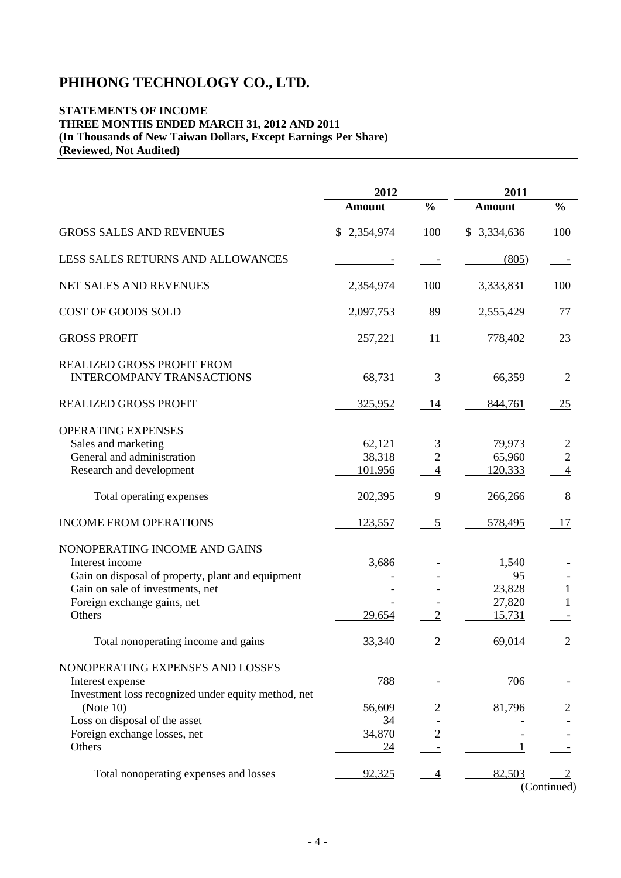# **STATEMENTS OF INCOME THREE MONTHS ENDED MARCH 31, 2012 AND 2011 (In Thousands of New Taiwan Dollars, Except Earnings Per Share) (Reviewed, Not Audited)**

|                                                                                                                                                                                    | 2012                        |                                                 | 2011                                      |                                       |  |  |
|------------------------------------------------------------------------------------------------------------------------------------------------------------------------------------|-----------------------------|-------------------------------------------------|-------------------------------------------|---------------------------------------|--|--|
|                                                                                                                                                                                    | <b>Amount</b>               | $\frac{0}{0}$                                   | <b>Amount</b>                             | $\frac{0}{0}$                         |  |  |
| <b>GROSS SALES AND REVENUES</b>                                                                                                                                                    | \$2,354,974                 | 100                                             | \$3,334,636                               | 100                                   |  |  |
| LESS SALES RETURNS AND ALLOWANCES                                                                                                                                                  |                             |                                                 | (805)                                     |                                       |  |  |
| NET SALES AND REVENUES                                                                                                                                                             | 2,354,974                   | 100                                             | 3,333,831                                 | 100                                   |  |  |
| COST OF GOODS SOLD                                                                                                                                                                 | 2,097,753                   | 89                                              | 2,555,429                                 | 77                                    |  |  |
| <b>GROSS PROFIT</b>                                                                                                                                                                | 257,221                     | 11                                              | 778,402                                   | 23                                    |  |  |
| REALIZED GROSS PROFIT FROM<br><b>INTERCOMPANY TRANSACTIONS</b>                                                                                                                     | 68,731                      | $\overline{3}$                                  | 66,359                                    | $\overline{2}$                        |  |  |
| <b>REALIZED GROSS PROFIT</b>                                                                                                                                                       | 325,952                     | 14                                              | 844,761                                   | 25                                    |  |  |
| OPERATING EXPENSES<br>Sales and marketing<br>General and administration<br>Research and development                                                                                | 62,121<br>38,318<br>101,956 | 3<br>$\overline{c}$<br>$\overline{\mathcal{L}}$ | 79,973<br>65,960<br>120,333               | 2<br>$\overline{c}$<br>$\overline{4}$ |  |  |
| Total operating expenses                                                                                                                                                           | 202,395                     | $\overline{9}$                                  | 266,266                                   | 8                                     |  |  |
| <b>INCOME FROM OPERATIONS</b>                                                                                                                                                      | 123,557                     | 5                                               | 578,495                                   | 17                                    |  |  |
| NONOPERATING INCOME AND GAINS<br>Interest income<br>Gain on disposal of property, plant and equipment<br>Gain on sale of investments, net<br>Foreign exchange gains, net<br>Others | 3,686<br>29,654             | $\overline{2}$                                  | 1,540<br>95<br>23,828<br>27,820<br>15,731 | 1                                     |  |  |
| Total nonoperating income and gains                                                                                                                                                | 33,340                      | $\overline{c}$                                  | 69,014                                    | $\overline{2}$                        |  |  |
| NONOPERATING EXPENSES AND LOSSES<br>Interest expense<br>Investment loss recognized under equity method, net<br>(Note 10)                                                           | 788<br>56,609               |                                                 | 706<br>81,796                             | 2                                     |  |  |
| Loss on disposal of the asset                                                                                                                                                      |                             | 2                                               |                                           |                                       |  |  |
|                                                                                                                                                                                    | 34                          | $\overline{2}$                                  |                                           |                                       |  |  |
| Foreign exchange losses, net<br>Others                                                                                                                                             | 34,870<br>24                |                                                 |                                           |                                       |  |  |
| Total nonoperating expenses and losses                                                                                                                                             | 92,325                      | $\overline{4}$                                  | 82,503                                    |                                       |  |  |

(Continued)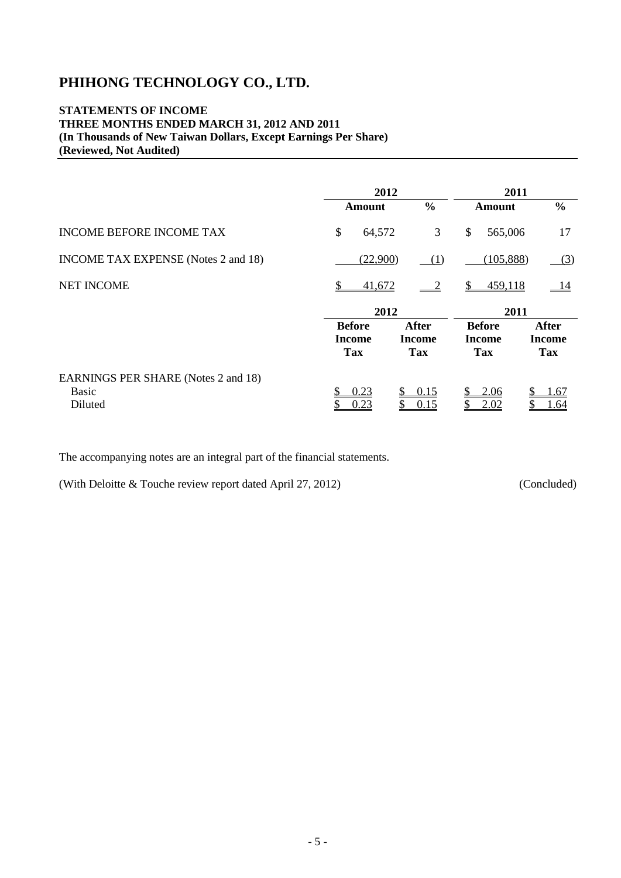# **STATEMENTS OF INCOME THREE MONTHS ENDED MARCH 31, 2012 AND 2011 (In Thousands of New Taiwan Dollars, Except Earnings Per Share) (Reviewed, Not Audited)**

|                                            | 2012          |               | 2011          |               |  |
|--------------------------------------------|---------------|---------------|---------------|---------------|--|
|                                            | Amount        | $\frac{6}{6}$ | Amount        | $\frac{6}{6}$ |  |
| <b>INCOME BEFORE INCOME TAX</b>            | \$<br>64,572  | 3             | \$<br>565,006 | 17            |  |
| <b>INCOME TAX EXPENSE</b> (Notes 2 and 18) | (22,900)      | (1)           | (105, 888)    | (3)           |  |
| <b>NET INCOME</b>                          | \$<br>41,672  | $\sqrt{2}$    | 459,118       | - 14          |  |
|                                            | 2012          |               |               | 2011          |  |
|                                            | <b>Before</b> | <b>After</b>  | <b>Before</b> | <b>After</b>  |  |
|                                            | <b>Income</b> | Income        | Income        | Income        |  |
|                                            | Tax           | <b>Tax</b>    | Tax           | Tax           |  |
| <b>EARNINGS PER SHARE (Notes 2 and 18)</b> |               |               |               |               |  |
| Basic                                      | 0.23          | 0.15          | 2.06<br>S     | 1.67          |  |
| Diluted                                    | 0.23          | 0.15          | 2.02          | .64           |  |

The accompanying notes are an integral part of the financial statements.

(With Deloitte & Touche review report dated April 27, 2012) (Concluded)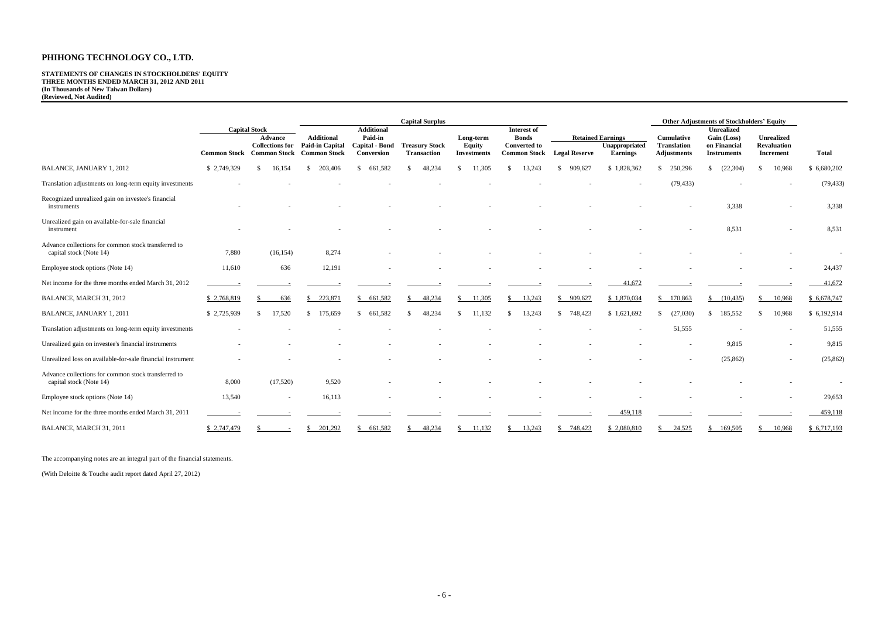#### **STATEMENTS OF CHANGES IN STOCKHOLDERS' EQUITY THREE MONTHS ENDED MARCH 31, 2012 AND 2011 (In Thousands of New Taiwan Dollars) (Reviewed, Not Audited)**

|                                                                                |             |                                                                                                      |                                                                    |                                                                     | <b>Capital Surplus</b>                      |                                           |                                                                           |                          |                                                               |                                                 | <b>Other Adjustments of Stockholders' Equity</b>                       |                                               |              |
|--------------------------------------------------------------------------------|-------------|------------------------------------------------------------------------------------------------------|--------------------------------------------------------------------|---------------------------------------------------------------------|---------------------------------------------|-------------------------------------------|---------------------------------------------------------------------------|--------------------------|---------------------------------------------------------------|-------------------------------------------------|------------------------------------------------------------------------|-----------------------------------------------|--------------|
|                                                                                |             | <b>Capital Stock</b><br><b>Advance</b><br><b>Collections for</b><br><b>Common Stock Common Stock</b> | <b>Additional</b><br><b>Paid-in Capital</b><br><b>Common Stock</b> | <b>Additional</b><br>Paid-in<br><b>Capital - Bond</b><br>Conversion | <b>Treasury Stock</b><br><b>Transaction</b> | Long-term<br>Equity<br><b>Investments</b> | Interest of<br><b>Bonds</b><br><b>Converted to</b><br><b>Common Stock</b> | <b>Legal Reserve</b>     | <b>Retained Earnings</b><br>Unappropriated<br><b>Earnings</b> | Cumulative<br><b>Translation</b><br>Adjustments | <b>Unrealized</b><br>Gain (Loss)<br>on Financial<br><b>Instruments</b> | <b>Unrealized</b><br>Revaluation<br>Increment | <b>Total</b> |
| BALANCE, JANUARY 1, 2012                                                       | \$2,749,329 | 16,154                                                                                               | \$203,406                                                          | 661,582<br><sup>\$</sup>                                            | 48,234<br>-S                                | $\mathbb{S}^-$<br>11,305                  | 13,243<br>¢                                                               | 909,627<br><sup>\$</sup> | \$1,828,362                                                   | 250,296<br>$\mathbf{\hat{s}}$                   | (22, 304)<br>$\mathbb{S}^-$                                            | 10,968<br>-S                                  | \$6,680,202  |
| Translation adjustments on long-term equity investments                        |             |                                                                                                      |                                                                    |                                                                     |                                             |                                           |                                                                           |                          |                                                               | (79, 433)                                       |                                                                        |                                               | (79, 433)    |
| Recognized unrealized gain on investee's financial<br>instruments              |             |                                                                                                      |                                                                    |                                                                     |                                             |                                           |                                                                           |                          |                                                               |                                                 | 3,338                                                                  |                                               | 3,338        |
| Unrealized gain on available-for-sale financial<br>instrument                  |             |                                                                                                      |                                                                    |                                                                     |                                             |                                           |                                                                           |                          |                                                               |                                                 | 8,531                                                                  |                                               | 8,531        |
| Advance collections for common stock transferred to<br>capital stock (Note 14) | 7,880       | (16, 154)                                                                                            | 8,274                                                              |                                                                     |                                             |                                           |                                                                           |                          |                                                               |                                                 |                                                                        |                                               |              |
| Employee stock options (Note 14)                                               | 11,610      | 636                                                                                                  | 12,191                                                             |                                                                     |                                             |                                           |                                                                           |                          |                                                               |                                                 |                                                                        |                                               | 24,437       |
| Net income for the three months ended March 31, 2012                           |             |                                                                                                      |                                                                    |                                                                     |                                             |                                           |                                                                           |                          | 41,672                                                        |                                                 |                                                                        |                                               | 41,672       |
| BALANCE, MARCH 31, 2012                                                        | \$2,768,819 | 636                                                                                                  | \$223,871                                                          | \$661,582                                                           | 48,234                                      | 11,305                                    | 13,243                                                                    | \$909,627                | \$1,870,034                                                   | \$170,863                                       | (10, 435)                                                              | 10,968<br>$\mathbb{S}$                        | \$6,678,747  |
| BALANCE, JANUARY 1, 2011                                                       | \$2,725,939 | 17,520                                                                                               | \$175,659                                                          | 661,582<br>\$.                                                      | 48,234                                      | 11,132<br>-S                              | 13,243<br>-S                                                              | 748,423<br><sup>\$</sup> | \$1,621,692                                                   | (27,030)<br>-S                                  | 185,552<br>$\mathbb{S}^-$                                              | 10,968<br>£.                                  | \$6,192,914  |
| Translation adjustments on long-term equity investments                        |             |                                                                                                      |                                                                    |                                                                     |                                             |                                           |                                                                           |                          |                                                               | 51,555                                          |                                                                        |                                               | 51,555       |
| Unrealized gain on investee's financial instruments                            |             |                                                                                                      |                                                                    |                                                                     |                                             |                                           |                                                                           |                          |                                                               | $\overline{\phantom{a}}$                        | 9,815                                                                  |                                               | 9,815        |
| Unrealized loss on available-for-sale financial instrument                     |             |                                                                                                      |                                                                    |                                                                     |                                             |                                           |                                                                           |                          |                                                               |                                                 | (25, 862)                                                              |                                               | (25, 862)    |
| Advance collections for common stock transferred to<br>capital stock (Note 14) | 8,000       | (17,520)                                                                                             | 9,520                                                              |                                                                     |                                             |                                           |                                                                           |                          |                                                               |                                                 |                                                                        |                                               |              |
| Employee stock options (Note 14)                                               | 13,540      | $\overline{\phantom{a}}$                                                                             | 16,113                                                             |                                                                     |                                             |                                           |                                                                           |                          |                                                               |                                                 |                                                                        |                                               | 29,653       |
| Net income for the three months ended March 31, 2011                           |             |                                                                                                      |                                                                    |                                                                     |                                             |                                           |                                                                           |                          | 459,118                                                       |                                                 |                                                                        |                                               | 459,118      |
| BALANCE, MARCH 31, 2011                                                        | \$2,747,479 |                                                                                                      | $\frac{$201,292}{}$                                                | \$661,582                                                           | 48,234                                      | 11,132                                    | 13,243                                                                    | \$748,423                | \$2,080,810                                                   | 24,525                                          | \$169,505                                                              | 10,968                                        | \$6,717,193  |

The accompanying notes are an integral part of the financial statements.

(With Deloitte & Touche audit report dated April 27, 2012)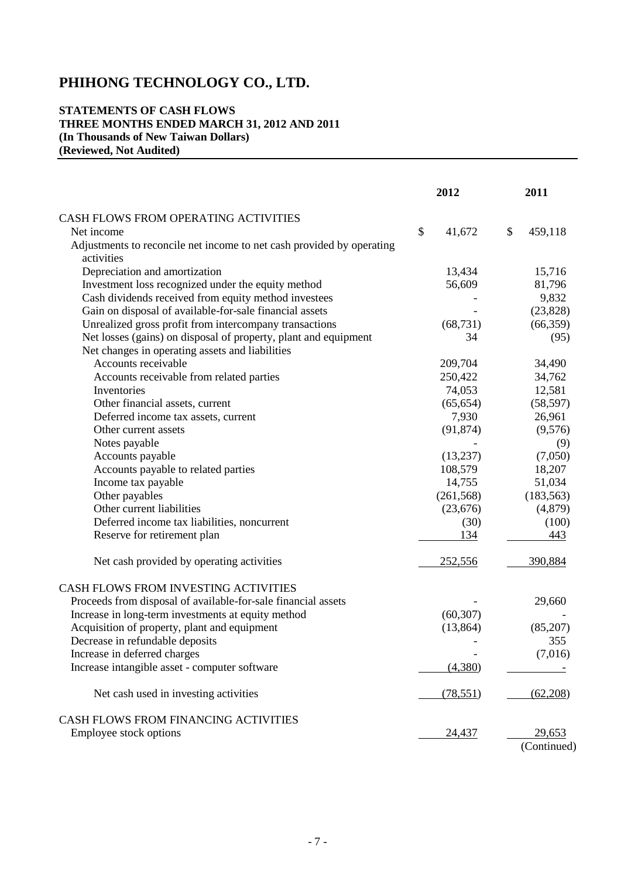# **STATEMENTS OF CASH FLOWS THREE MONTHS ENDED MARCH 31, 2012 AND 2011 (In Thousands of New Taiwan Dollars) (Reviewed, Not Audited)**

|                                                                                                       | 2012         | 2011          |
|-------------------------------------------------------------------------------------------------------|--------------|---------------|
| CASH FLOWS FROM OPERATING ACTIVITIES                                                                  |              |               |
| Net income                                                                                            | \$<br>41,672 | \$<br>459,118 |
| Adjustments to reconcile net income to net cash provided by operating                                 |              |               |
| activities                                                                                            |              |               |
| Depreciation and amortization                                                                         | 13,434       | 15,716        |
| Investment loss recognized under the equity method                                                    | 56,609       | 81,796        |
| Cash dividends received from equity method investees                                                  |              | 9,832         |
| Gain on disposal of available-for-sale financial assets                                               |              | (23, 828)     |
| Unrealized gross profit from intercompany transactions                                                | (68, 731)    | (66, 359)     |
| Net losses (gains) on disposal of property, plant and equipment                                       | 34           | (95)          |
| Net changes in operating assets and liabilities                                                       |              |               |
| Accounts receivable                                                                                   | 209,704      | 34,490        |
| Accounts receivable from related parties                                                              | 250,422      | 34,762        |
| Inventories                                                                                           | 74,053       | 12,581        |
| Other financial assets, current                                                                       | (65, 654)    | (58, 597)     |
| Deferred income tax assets, current                                                                   | 7,930        | 26,961        |
| Other current assets                                                                                  | (91, 874)    | (9,576)       |
| Notes payable                                                                                         |              | (9)           |
| Accounts payable                                                                                      | (13,237)     | (7,050)       |
| Accounts payable to related parties                                                                   | 108,579      | 18,207        |
| Income tax payable                                                                                    | 14,755       | 51,034        |
| Other payables                                                                                        | (261, 568)   | (183, 563)    |
| Other current liabilities                                                                             | (23,676)     | (4,879)       |
| Deferred income tax liabilities, noncurrent                                                           | (30)         | (100)         |
| Reserve for retirement plan                                                                           | 134          | 443           |
| Net cash provided by operating activities                                                             | 252,556      | 390,884       |
|                                                                                                       |              |               |
| CASH FLOWS FROM INVESTING ACTIVITIES<br>Proceeds from disposal of available-for-sale financial assets |              | 29,660        |
| Increase in long-term investments at equity method                                                    | (60, 307)    |               |
| Acquisition of property, plant and equipment                                                          | (13, 864)    | (85,207)      |
| Decrease in refundable deposits                                                                       |              | 355           |
| Increase in deferred charges                                                                          |              | (7,016)       |
| Increase intangible asset - computer software                                                         | (4,380)      |               |
|                                                                                                       |              |               |
| Net cash used in investing activities                                                                 | (78, 551)    | (62,208)      |
| CASH FLOWS FROM FINANCING ACTIVITIES                                                                  |              |               |
| Employee stock options                                                                                | 24,437       | 29,653        |
|                                                                                                       |              | (Continued)   |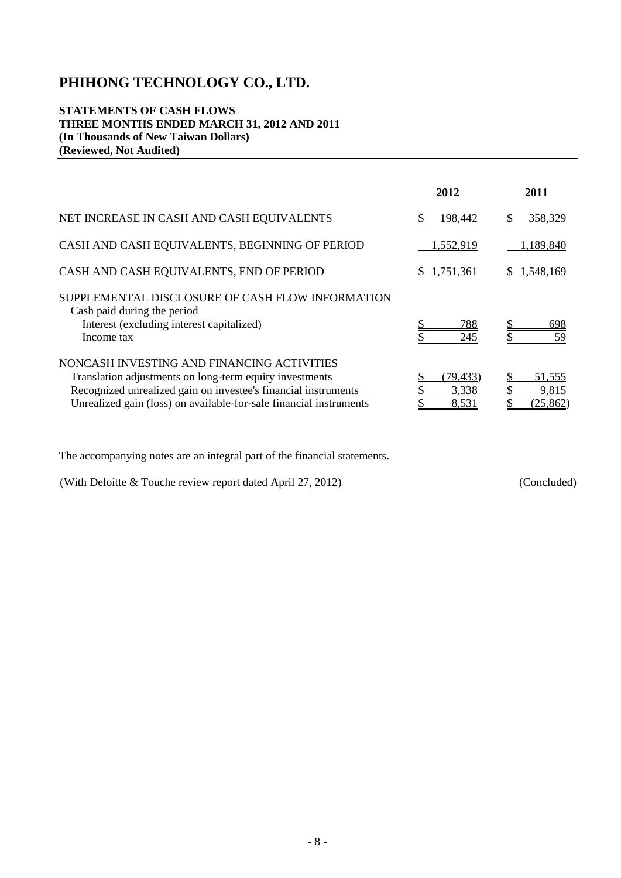# **STATEMENTS OF CASH FLOWS THREE MONTHS ENDED MARCH 31, 2012 AND 2011 (In Thousands of New Taiwan Dollars) (Reviewed, Not Audited)**

|                                                                                                                                                                                                                                               | 2012                      | 2011                      |
|-----------------------------------------------------------------------------------------------------------------------------------------------------------------------------------------------------------------------------------------------|---------------------------|---------------------------|
| NET INCREASE IN CASH AND CASH EQUIVALENTS                                                                                                                                                                                                     | \$<br>198,442             | 358,329<br>S              |
| CASH AND CASH EQUIVALENTS, BEGINNING OF PERIOD                                                                                                                                                                                                | 1,552,919                 | 1,189,840                 |
| CASH AND CASH EQUIVALENTS, END OF PERIOD                                                                                                                                                                                                      | 1.751.361                 | <u>1,548,169</u>          |
| SUPPLEMENTAL DISCLOSURE OF CASH FLOW INFORMATION<br>Cash paid during the period<br>Interest (excluding interest capitalized)<br>Income tax                                                                                                    | 788<br>245                | 698<br>59                 |
| NONCASH INVESTING AND FINANCING ACTIVITIES<br>Translation adjustments on long-term equity investments<br>Recognized unrealized gain on investee's financial instruments<br>Unrealized gain (loss) on available-for-sale financial instruments | 79. <u>433</u> °<br>3.338 | 51.555<br>9.815<br>25.862 |

The accompanying notes are an integral part of the financial statements.

(With Deloitte & Touche review report dated April 27, 2012) (Concluded)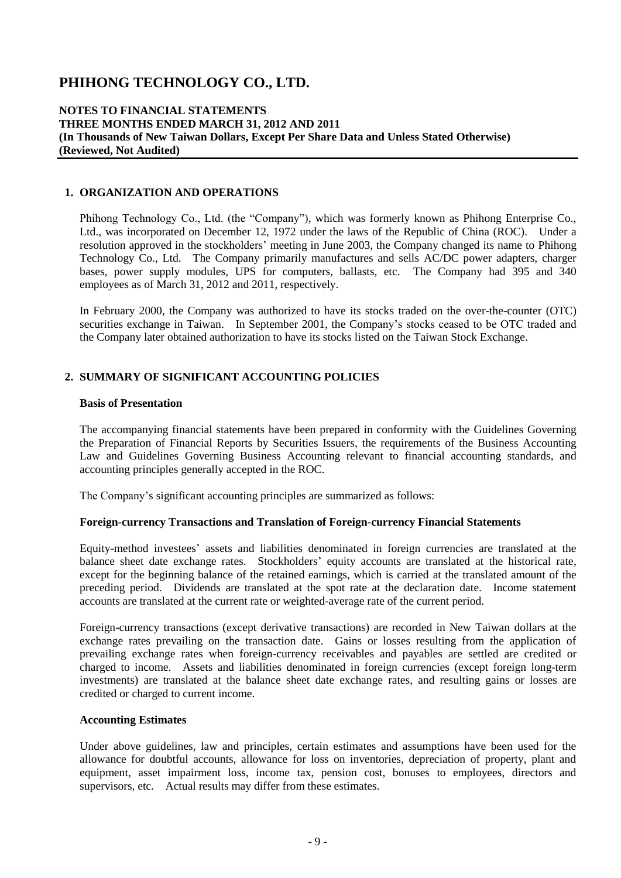## **NOTES TO FINANCIAL STATEMENTS THREE MONTHS ENDED MARCH 31, 2012 AND 2011 (In Thousands of New Taiwan Dollars, Except Per Share Data and Unless Stated Otherwise) (Reviewed, Not Audited)**

## **1. ORGANIZATION AND OPERATIONS**

Phihong Technology Co., Ltd. (the "Company"), which was formerly known as Phihong Enterprise Co., Ltd., was incorporated on December 12, 1972 under the laws of the Republic of China (ROC). Under a resolution approved in the stockholders' meeting in June 2003, the Company changed its name to Phihong Technology Co., Ltd. The Company primarily manufactures and sells AC/DC power adapters, charger bases, power supply modules, UPS for computers, ballasts, etc. The Company had 395 and 340 employees as of March 31, 2012 and 2011, respectively.

In February 2000, the Company was authorized to have its stocks traded on the over-the-counter (OTC) securities exchange in Taiwan. In September 2001, the Company's stocks ceased to be OTC traded and the Company later obtained authorization to have its stocks listed on the Taiwan Stock Exchange.

# **2. SUMMARY OF SIGNIFICANT ACCOUNTING POLICIES**

#### **Basis of Presentation**

The accompanying financial statements have been prepared in conformity with the Guidelines Governing the Preparation of Financial Reports by Securities Issuers, the requirements of the Business Accounting Law and Guidelines Governing Business Accounting relevant to financial accounting standards, and accounting principles generally accepted in the ROC.

The Company's significant accounting principles are summarized as follows:

### **Foreign-currency Transactions and Translation of Foreign-currency Financial Statements**

Equity-method investees' assets and liabilities denominated in foreign currencies are translated at the balance sheet date exchange rates. Stockholders' equity accounts are translated at the historical rate, except for the beginning balance of the retained earnings, which is carried at the translated amount of the preceding period. Dividends are translated at the spot rate at the declaration date. Income statement accounts are translated at the current rate or weighted-average rate of the current period.

Foreign-currency transactions (except derivative transactions) are recorded in New Taiwan dollars at the exchange rates prevailing on the transaction date. Gains or losses resulting from the application of prevailing exchange rates when foreign-currency receivables and payables are settled are credited or charged to income. Assets and liabilities denominated in foreign currencies (except foreign long-term investments) are translated at the balance sheet date exchange rates, and resulting gains or losses are credited or charged to current income.

#### **Accounting Estimates**

Under above guidelines, law and principles, certain estimates and assumptions have been used for the allowance for doubtful accounts, allowance for loss on inventories, depreciation of property, plant and equipment, asset impairment loss, income tax, pension cost, bonuses to employees, directors and supervisors, etc. Actual results may differ from these estimates.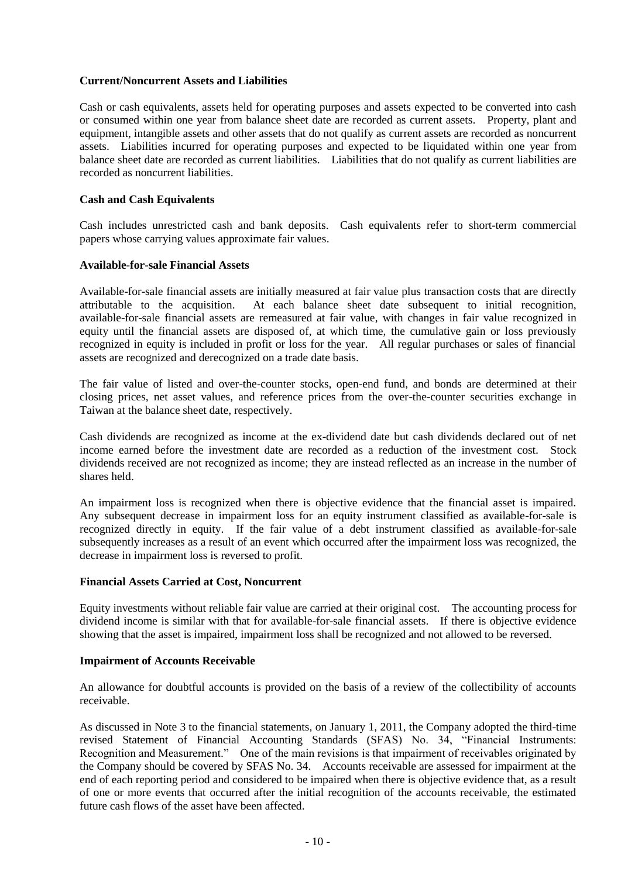### **Current/Noncurrent Assets and Liabilities**

Cash or cash equivalents, assets held for operating purposes and assets expected to be converted into cash or consumed within one year from balance sheet date are recorded as current assets. Property, plant and equipment, intangible assets and other assets that do not qualify as current assets are recorded as noncurrent assets. Liabilities incurred for operating purposes and expected to be liquidated within one year from balance sheet date are recorded as current liabilities. Liabilities that do not qualify as current liabilities are recorded as noncurrent liabilities.

#### **Cash and Cash Equivalents**

Cash includes unrestricted cash and bank deposits. Cash equivalents refer to short-term commercial papers whose carrying values approximate fair values.

#### **Available-for-sale Financial Assets**

Available-for-sale financial assets are initially measured at fair value plus transaction costs that are directly attributable to the acquisition. At each balance sheet date subsequent to initial recognition, available-for-sale financial assets are remeasured at fair value, with changes in fair value recognized in equity until the financial assets are disposed of, at which time, the cumulative gain or loss previously recognized in equity is included in profit or loss for the year. All regular purchases or sales of financial assets are recognized and derecognized on a trade date basis.

The fair value of listed and over-the-counter stocks, open-end fund, and bonds are determined at their closing prices, net asset values, and reference prices from the over-the-counter securities exchange in Taiwan at the balance sheet date, respectively.

Cash dividends are recognized as income at the ex-dividend date but cash dividends declared out of net income earned before the investment date are recorded as a reduction of the investment cost. Stock dividends received are not recognized as income; they are instead reflected as an increase in the number of shares held.

An impairment loss is recognized when there is objective evidence that the financial asset is impaired. Any subsequent decrease in impairment loss for an equity instrument classified as available-for-sale is recognized directly in equity. If the fair value of a debt instrument classified as available-for-sale subsequently increases as a result of an event which occurred after the impairment loss was recognized, the decrease in impairment loss is reversed to profit.

#### **Financial Assets Carried at Cost, Noncurrent**

Equity investments without reliable fair value are carried at their original cost. The accounting process for dividend income is similar with that for available-for-sale financial assets. If there is objective evidence showing that the asset is impaired, impairment loss shall be recognized and not allowed to be reversed.

#### **Impairment of Accounts Receivable**

An allowance for doubtful accounts is provided on the basis of a review of the collectibility of accounts receivable.

As discussed in Note 3 to the financial statements, on January 1, 2011, the Company adopted the third-time revised Statement of Financial Accounting Standards (SFAS) No. 34, "Financial Instruments: Recognition and Measurement." One of the main revisions is that impairment of receivables originated by the Company should be covered by SFAS No. 34. Accounts receivable are assessed for impairment at the end of each reporting period and considered to be impaired when there is objective evidence that, as a result of one or more events that occurred after the initial recognition of the accounts receivable, the estimated future cash flows of the asset have been affected.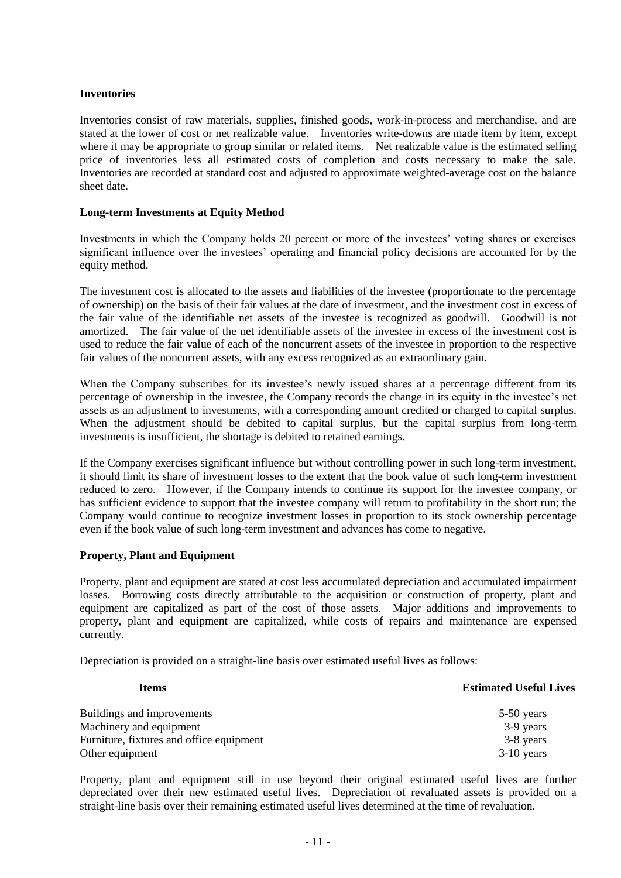# **Inventories**

Inventories consist of raw materials, supplies, finished goods, work-in-process and merchandise, and are stated at the lower of cost or net realizable value. Inventories write-downs are made item by item, except where it may be appropriate to group similar or related items. Net realizable value is the estimated selling price of inventories less all estimated costs of completion and costs necessary to make the sale. Inventories are recorded at standard cost and adjusted to approximate weighted-average cost on the balance sheet date.

# **Long-term Investments at Equity Method**

Investments in which the Company holds 20 percent or more of the investees' voting shares or exercises significant influence over the investees' operating and financial policy decisions are accounted for by the equity method.

The investment cost is allocated to the assets and liabilities of the investee (proportionate to the percentage of ownership) on the basis of their fair values at the date of investment, and the investment cost in excess of the fair value of the identifiable net assets of the investee is recognized as goodwill. Goodwill is not amortized. The fair value of the net identifiable assets of the investee in excess of the investment cost is used to reduce the fair value of each of the noncurrent assets of the investee in proportion to the respective fair values of the noncurrent assets, with any excess recognized as an extraordinary gain.

When the Company subscribes for its investee's newly issued shares at a percentage different from its percentage of ownership in the investee, the Company records the change in its equity in the investee's net assets as an adjustment to investments, with a corresponding amount credited or charged to capital surplus. When the adjustment should be debited to capital surplus, but the capital surplus from long-term investments is insufficient, the shortage is debited to retained earnings.

If the Company exercises significant influence but without controlling power in such long-term investment, it should limit its share of investment losses to the extent that the book value of such long-term investment reduced to zero. However, if the Company intends to continue its support for the investee company, or has sufficient evidence to support that the investee company will return to profitability in the short run; the Company would continue to recognize investment losses in proportion to its stock ownership percentage even if the book value of such long-term investment and advances has come to negative.

### **Property, Plant and Equipment**

Property, plant and equipment are stated at cost less accumulated depreciation and accumulated impairment losses. Borrowing costs directly attributable to the acquisition or construction of property, plant and equipment are capitalized as part of the cost of those assets. Major additions and improvements to property, plant and equipment are capitalized, while costs of repairs and maintenance are expensed currently.

Depreciation is provided on a straight-line basis over estimated useful lives as follows:

| 1001119                                  | поннаки свени птов |
|------------------------------------------|--------------------|
| Buildings and improvements               | 5-50 years         |
| Machinery and equipment                  | 3-9 years          |
| Furniture, fixtures and office equipment | 3-8 years          |
| Other equipment                          | $3-10$ years       |

**Items Estimated Useful Lives**

Property, plant and equipment still in use beyond their original estimated useful lives are further depreciated over their new estimated useful lives. Depreciation of revaluated assets is provided on a straight-line basis over their remaining estimated useful lives determined at the time of revaluation.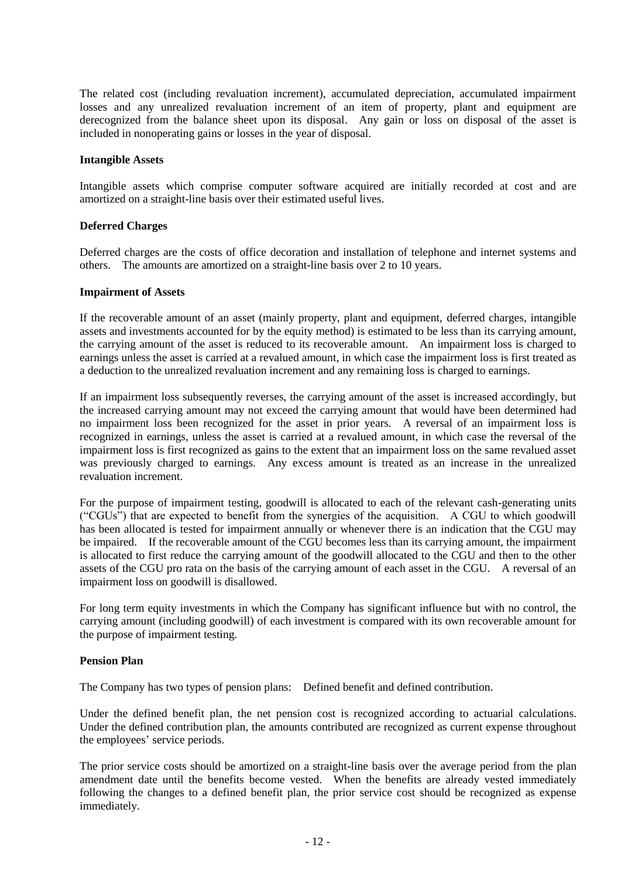The related cost (including revaluation increment), accumulated depreciation, accumulated impairment losses and any unrealized revaluation increment of an item of property, plant and equipment are derecognized from the balance sheet upon its disposal. Any gain or loss on disposal of the asset is included in nonoperating gains or losses in the year of disposal.

#### **Intangible Assets**

Intangible assets which comprise computer software acquired are initially recorded at cost and are amortized on a straight-line basis over their estimated useful lives.

#### **Deferred Charges**

Deferred charges are the costs of office decoration and installation of telephone and internet systems and others. The amounts are amortized on a straight-line basis over 2 to 10 years.

#### **Impairment of Assets**

If the recoverable amount of an asset (mainly property, plant and equipment, deferred charges, intangible assets and investments accounted for by the equity method) is estimated to be less than its carrying amount, the carrying amount of the asset is reduced to its recoverable amount. An impairment loss is charged to earnings unless the asset is carried at a revalued amount, in which case the impairment loss is first treated as a deduction to the unrealized revaluation increment and any remaining loss is charged to earnings.

If an impairment loss subsequently reverses, the carrying amount of the asset is increased accordingly, but the increased carrying amount may not exceed the carrying amount that would have been determined had no impairment loss been recognized for the asset in prior years. A reversal of an impairment loss is recognized in earnings, unless the asset is carried at a revalued amount, in which case the reversal of the impairment loss is first recognized as gains to the extent that an impairment loss on the same revalued asset was previously charged to earnings. Any excess amount is treated as an increase in the unrealized revaluation increment.

For the purpose of impairment testing, goodwill is allocated to each of the relevant cash-generating units ("CGUs") that are expected to benefit from the synergies of the acquisition. A CGU to which goodwill has been allocated is tested for impairment annually or whenever there is an indication that the CGU may be impaired. If the recoverable amount of the CGU becomes less than its carrying amount, the impairment is allocated to first reduce the carrying amount of the goodwill allocated to the CGU and then to the other assets of the CGU pro rata on the basis of the carrying amount of each asset in the CGU. A reversal of an impairment loss on goodwill is disallowed.

For long term equity investments in which the Company has significant influence but with no control, the carrying amount (including goodwill) of each investment is compared with its own recoverable amount for the purpose of impairment testing.

#### **Pension Plan**

The Company has two types of pension plans: Defined benefit and defined contribution.

Under the defined benefit plan, the net pension cost is recognized according to actuarial calculations. Under the defined contribution plan, the amounts contributed are recognized as current expense throughout the employees' service periods.

The prior service costs should be amortized on a straight-line basis over the average period from the plan amendment date until the benefits become vested. When the benefits are already vested immediately following the changes to a defined benefit plan, the prior service cost should be recognized as expense immediately.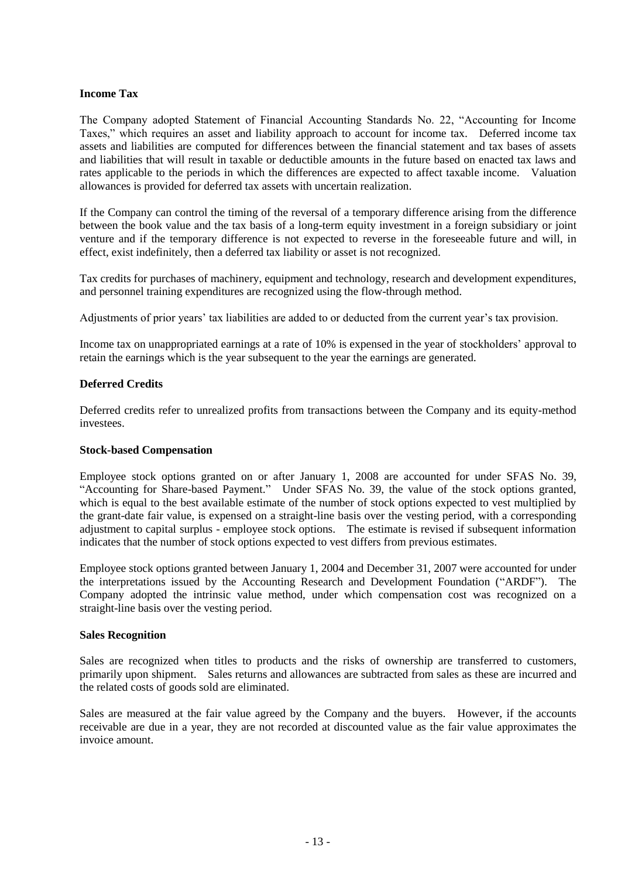## **Income Tax**

The Company adopted Statement of Financial Accounting Standards No. 22, "Accounting for Income Taxes," which requires an asset and liability approach to account for income tax. Deferred income tax assets and liabilities are computed for differences between the financial statement and tax bases of assets and liabilities that will result in taxable or deductible amounts in the future based on enacted tax laws and rates applicable to the periods in which the differences are expected to affect taxable income. Valuation allowances is provided for deferred tax assets with uncertain realization.

If the Company can control the timing of the reversal of a temporary difference arising from the difference between the book value and the tax basis of a long-term equity investment in a foreign subsidiary or joint venture and if the temporary difference is not expected to reverse in the foreseeable future and will, in effect, exist indefinitely, then a deferred tax liability or asset is not recognized.

Tax credits for purchases of machinery, equipment and technology, research and development expenditures, and personnel training expenditures are recognized using the flow-through method.

Adjustments of prior years' tax liabilities are added to or deducted from the current year's tax provision.

Income tax on unappropriated earnings at a rate of 10% is expensed in the year of stockholders' approval to retain the earnings which is the year subsequent to the year the earnings are generated.

# **Deferred Credits**

Deferred credits refer to unrealized profits from transactions between the Company and its equity-method investees.

### **Stock-based Compensation**

Employee stock options granted on or after January 1, 2008 are accounted for under SFAS No. 39, "Accounting for Share-based Payment." Under SFAS No. 39, the value of the stock options granted, which is equal to the best available estimate of the number of stock options expected to vest multiplied by the grant-date fair value, is expensed on a straight-line basis over the vesting period, with a corresponding adjustment to capital surplus - employee stock options. The estimate is revised if subsequent information indicates that the number of stock options expected to vest differs from previous estimates.

Employee stock options granted between January 1, 2004 and December 31, 2007 were accounted for under the interpretations issued by the Accounting Research and Development Foundation ("ARDF"). The Company adopted the intrinsic value method, under which compensation cost was recognized on a straight-line basis over the vesting period.

### **Sales Recognition**

Sales are recognized when titles to products and the risks of ownership are transferred to customers, primarily upon shipment. Sales returns and allowances are subtracted from sales as these are incurred and the related costs of goods sold are eliminated.

Sales are measured at the fair value agreed by the Company and the buyers. However, if the accounts receivable are due in a year, they are not recorded at discounted value as the fair value approximates the invoice amount.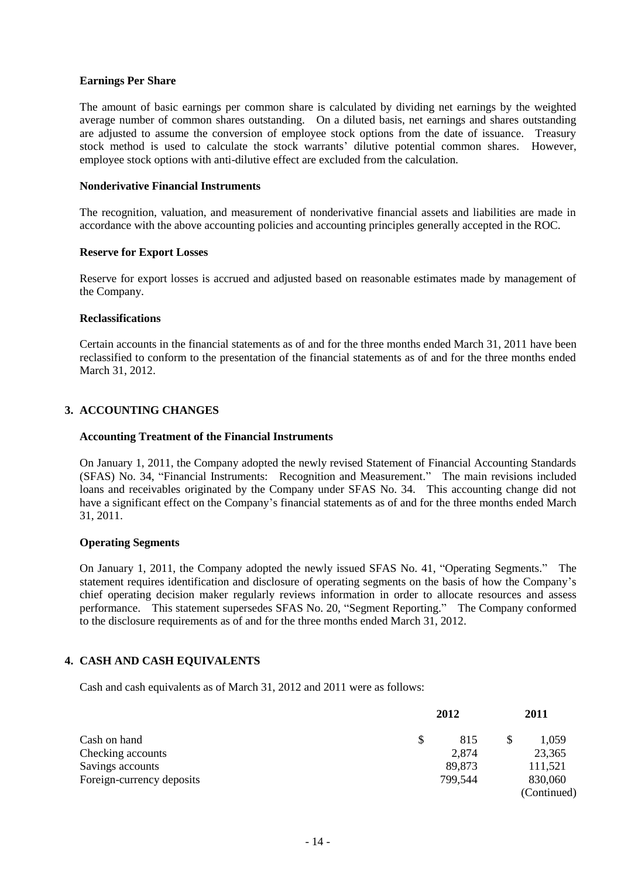## **Earnings Per Share**

The amount of basic earnings per common share is calculated by dividing net earnings by the weighted average number of common shares outstanding. On a diluted basis, net earnings and shares outstanding are adjusted to assume the conversion of employee stock options from the date of issuance. Treasury stock method is used to calculate the stock warrants' dilutive potential common shares. However, employee stock options with anti-dilutive effect are excluded from the calculation.

#### **Nonderivative Financial Instruments**

The recognition, valuation, and measurement of nonderivative financial assets and liabilities are made in accordance with the above accounting policies and accounting principles generally accepted in the ROC.

#### **Reserve for Export Losses**

Reserve for export losses is accrued and adjusted based on reasonable estimates made by management of the Company.

#### **Reclassifications**

Certain accounts in the financial statements as of and for the three months ended March 31, 2011 have been reclassified to conform to the presentation of the financial statements as of and for the three months ended March 31, 2012.

### **3. ACCOUNTING CHANGES**

#### **Accounting Treatment of the Financial Instruments**

On January 1, 2011, the Company adopted the newly revised Statement of Financial Accounting Standards (SFAS) No. 34, "Financial Instruments: Recognition and Measurement." The main revisions included loans and receivables originated by the Company under SFAS No. 34. This accounting change did not have a significant effect on the Company's financial statements as of and for the three months ended March 31, 2011.

### **Operating Segments**

On January 1, 2011, the Company adopted the newly issued SFAS No. 41, "Operating Segments." The statement requires identification and disclosure of operating segments on the basis of how the Company's chief operating decision maker regularly reviews information in order to allocate resources and assess performance. This statement supersedes SFAS No. 20, "Segment Reporting." The Company conformed to the disclosure requirements as of and for the three months ended March 31, 2012.

### **4. CASH AND CASH EQUIVALENTS**

Cash and cash equivalents as of March 31, 2012 and 2011 were as follows:

| Cash on hand              |   | 2011    |  |             |
|---------------------------|---|---------|--|-------------|
|                           | S | 815     |  | 1,059       |
| Checking accounts         |   | 2,874   |  | 23,365      |
| Savings accounts          |   | 89,873  |  | 111,521     |
| Foreign-currency deposits |   | 799,544 |  | 830,060     |
|                           |   |         |  | (Continued) |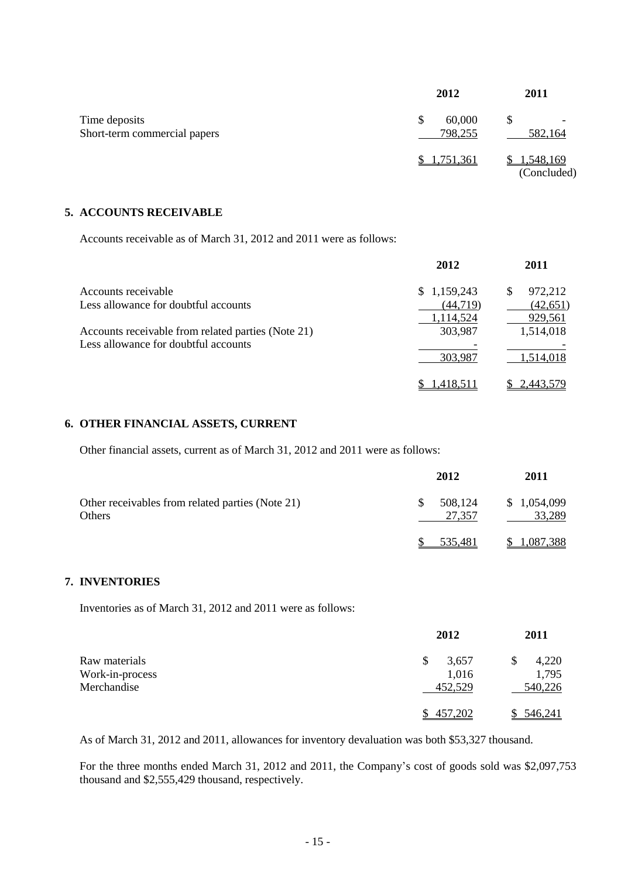|                                               | 2012              | 2011                                |
|-----------------------------------------------|-------------------|-------------------------------------|
| Time deposits<br>Short-term commercial papers | 60,000<br>798,255 | $\overline{\phantom{a}}$<br>582,164 |
|                                               | \$1,751,361       | 1,548,169<br>(Concluded)            |

## **5. ACCOUNTS RECEIVABLE**

Accounts receivable as of March 31, 2012 and 2011 were as follows:

|                                                    | 2012        | 2011         |
|----------------------------------------------------|-------------|--------------|
| Accounts receivable                                | \$1,159,243 | 972,212<br>S |
| Less allowance for doubtful accounts               | (44, 719)   | (42, 651)    |
|                                                    | 1,114,524   | 929,561      |
| Accounts receivable from related parties (Note 21) | 303,987     | 1,514,018    |
| Less allowance for doubtful accounts               |             |              |
|                                                    | 303,987     | 1,514,018    |
|                                                    | .418.511    | 2.443.579    |

# **6. OTHER FINANCIAL ASSETS, CURRENT**

Other financial assets, current as of March 31, 2012 and 2011 were as follows:

|                                                            | 2012                     | 2011                  |
|------------------------------------------------------------|--------------------------|-----------------------|
| Other receivables from related parties (Note 21)<br>Others | 508,124<br>\$.<br>27,357 | \$1,054,099<br>33,289 |
|                                                            | 535.481                  | 1,087,388             |

# **7. INVENTORIES**

Inventories as of March 31, 2012 and 2011 were as follows:

|                 | 2012       | 2011    |
|-----------------|------------|---------|
| Raw materials   | 3,657<br>S | 4,220   |
| Work-in-process | 1,016      | 1,795   |
| Merchandise     | 452,529    | 540,226 |
|                 | 457,202    | 546,241 |

As of March 31, 2012 and 2011, allowances for inventory devaluation was both \$53,327 thousand.

For the three months ended March 31, 2012 and 2011, the Company's cost of goods sold was \$2,097,753 thousand and \$2,555,429 thousand, respectively.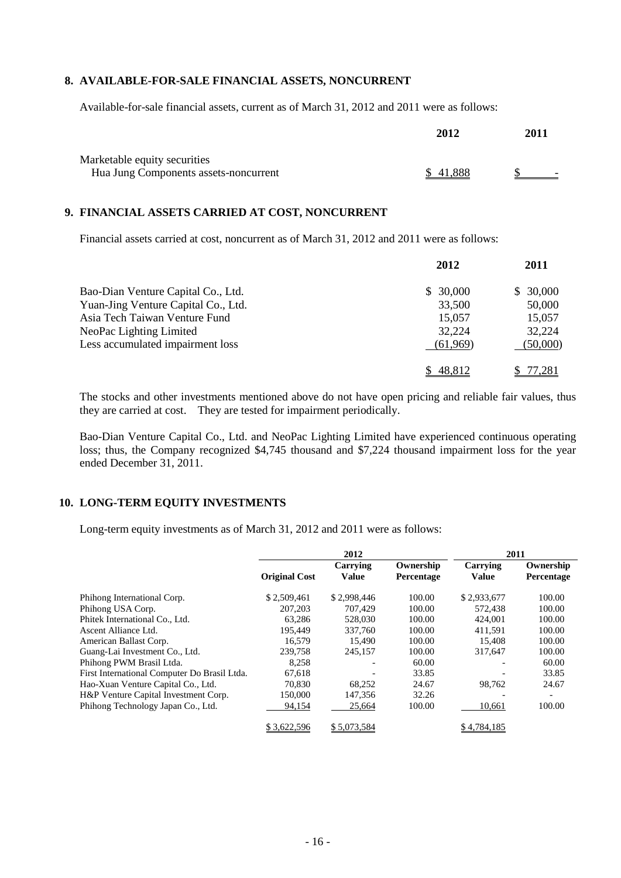## **8. AVAILABLE-FOR-SALE FINANCIAL ASSETS, NONCURRENT**

Available-for-sale financial assets, current as of March 31, 2012 and 2011 were as follows:

|                                       | 2012     | 2011 |
|---------------------------------------|----------|------|
| Marketable equity securities          |          |      |
| Hua Jung Components assets-noncurrent | \$41.888 |      |

# **9. FINANCIAL ASSETS CARRIED AT COST, NONCURRENT**

Financial assets carried at cost, noncurrent as of March 31, 2012 and 2011 were as follows:

|                                     | 2012      | 2011      |
|-------------------------------------|-----------|-----------|
| Bao-Dian Venture Capital Co., Ltd.  | \$30,000  | \$30,000  |
| Yuan-Jing Venture Capital Co., Ltd. | 33,500    | 50,000    |
| Asia Tech Taiwan Venture Fund       | 15,057    | 15,057    |
| NeoPac Lighting Limited             | 32,224    | 32,224    |
| Less accumulated impairment loss    | (61, 969) | (50,000)  |
|                                     | \$48,812  | \$ 77,281 |

The stocks and other investments mentioned above do not have open pricing and reliable fair values, thus they are carried at cost. They are tested for impairment periodically.

Bao-Dian Venture Capital Co., Ltd. and NeoPac Lighting Limited have experienced continuous operating loss; thus, the Company recognized \$4,745 thousand and \$7,224 thousand impairment loss for the year ended December 31, 2011.

# **10. LONG-TERM EQUITY INVESTMENTS**

Long-term equity investments as of March 31, 2012 and 2011 were as follows:

|                                              | 2012                 |                          | 2011                    |                          |                                |
|----------------------------------------------|----------------------|--------------------------|-------------------------|--------------------------|--------------------------------|
|                                              | <b>Original Cost</b> | Carrying<br><b>Value</b> | Ownership<br>Percentage | Carrying<br><b>Value</b> | Ownership<br><b>Percentage</b> |
| Phihong International Corp.                  | \$2,509,461          | \$2,998,446              | 100.00                  | \$2,933,677              | 100.00                         |
| Phihong USA Corp.                            | 207,203              | 707.429                  | 100.00                  | 572.438                  | 100.00                         |
| Phitek International Co., Ltd.               | 63.286               | 528,030                  | 100.00                  | 424,001                  | 100.00                         |
| Ascent Alliance Ltd.                         | 195,449              | 337,760                  | 100.00                  | 411,591                  | 100.00                         |
| American Ballast Corp.                       | 16.579               | 15.490                   | 100.00                  | 15.408                   | 100.00                         |
| Guang-Lai Investment Co., Ltd.               | 239,758              | 245,157                  | 100.00                  | 317.647                  | 100.00                         |
| Phihong PWM Brasil Ltda.                     | 8,258                |                          | 60.00                   |                          | 60.00                          |
| First International Computer Do Brasil Ltda. | 67.618               |                          | 33.85                   |                          | 33.85                          |
| Hao-Xuan Venture Capital Co., Ltd.           | 70,830               | 68.252                   | 24.67                   | 98,762                   | 24.67                          |
| H&P Venture Capital Investment Corp.         | 150,000              | 147.356                  | 32.26                   |                          |                                |
| Phihong Technology Japan Co., Ltd.           | 94,154               | 25,664                   | 100.00                  | 10,661                   | 100.00                         |
|                                              | \$3,622,596          | \$5,073,584              |                         | \$4,784,185              |                                |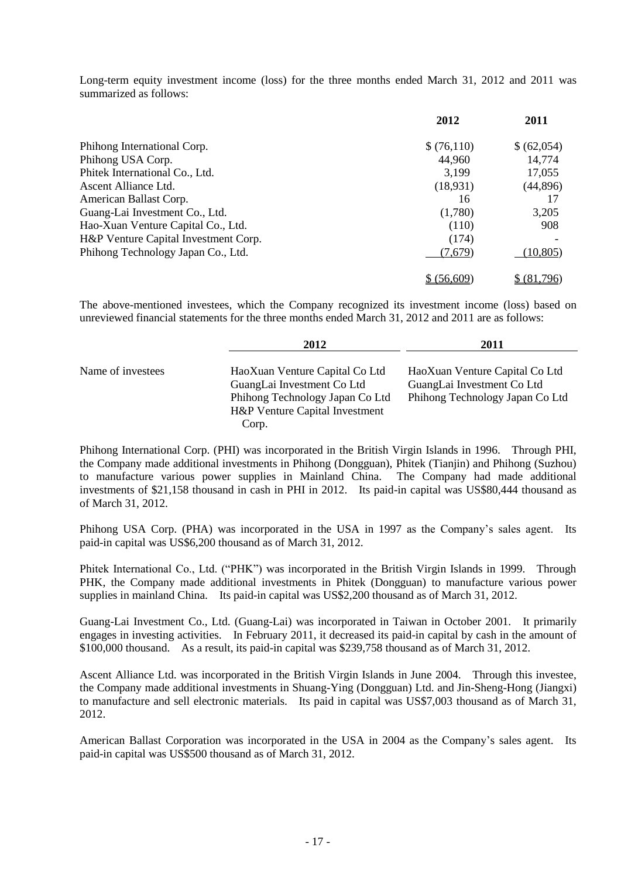Long-term equity investment income (loss) for the three months ended March 31, 2012 and 2011 was summarized as follows:

|                                      | 2012              | 2011        |
|--------------------------------------|-------------------|-------------|
| Phihong International Corp.          | \$(76,110)        | \$ (62,054) |
| Phihong USA Corp.                    | 44,960            | 14,774      |
| Phitek International Co., Ltd.       | 3,199             | 17,055      |
| Ascent Alliance Ltd.                 | (18,931)          | (44, 896)   |
| American Ballast Corp.               | 16                |             |
| Guang-Lai Investment Co., Ltd.       | (1,780)           | 3,205       |
| Hao-Xuan Venture Capital Co., Ltd.   | (110)             | 908         |
| H&P Venture Capital Investment Corp. | (174)             |             |
| Phihong Technology Japan Co., Ltd.   | (7,679)           | (10, 805)   |
|                                      | <u>\$(56,609)</u> | (81.796)    |

The above-mentioned investees, which the Company recognized its investment income (loss) based on unreviewed financial statements for the three months ended March 31, 2012 and 2011 are as follows:

|                   | 2012                            | 2011                            |
|-------------------|---------------------------------|---------------------------------|
|                   |                                 |                                 |
| Name of investees | HaoXuan Venture Capital Co Ltd  | HaoXuan Venture Capital Co Ltd  |
|                   | GuangLai Investment Co Ltd      | GuangLai Investment Co Ltd      |
|                   | Phihong Technology Japan Co Ltd | Phihong Technology Japan Co Ltd |
|                   | H&P Venture Capital Investment  |                                 |
|                   | Corp.                           |                                 |

Phihong International Corp. (PHI) was incorporated in the British Virgin Islands in 1996. Through PHI, the Company made additional investments in Phihong (Dongguan), Phitek (Tianjin) and Phihong (Suzhou) to manufacture various power supplies in Mainland China. The Company had made additional investments of \$21,158 thousand in cash in PHI in 2012. Its paid-in capital was US\$80,444 thousand as of March 31, 2012.

Phihong USA Corp. (PHA) was incorporated in the USA in 1997 as the Company's sales agent. Its paid-in capital was US\$6,200 thousand as of March 31, 2012.

Phitek International Co., Ltd. ("PHK") was incorporated in the British Virgin Islands in 1999. Through PHK, the Company made additional investments in Phitek (Dongguan) to manufacture various power supplies in mainland China. Its paid-in capital was US\$2,200 thousand as of March 31, 2012.

Guang-Lai Investment Co., Ltd. (Guang-Lai) was incorporated in Taiwan in October 2001. It primarily engages in investing activities. In February 2011, it decreased its paid-in capital by cash in the amount of \$100,000 thousand. As a result, its paid-in capital was \$239,758 thousand as of March 31, 2012.

Ascent Alliance Ltd. was incorporated in the British Virgin Islands in June 2004. Through this investee, the Company made additional investments in Shuang-Ying (Dongguan) Ltd. and Jin-Sheng-Hong (Jiangxi) to manufacture and sell electronic materials. Its paid in capital was US\$7,003 thousand as of March 31, 2012.

American Ballast Corporation was incorporated in the USA in 2004 as the Company's sales agent. Its paid-in capital was US\$500 thousand as of March 31, 2012.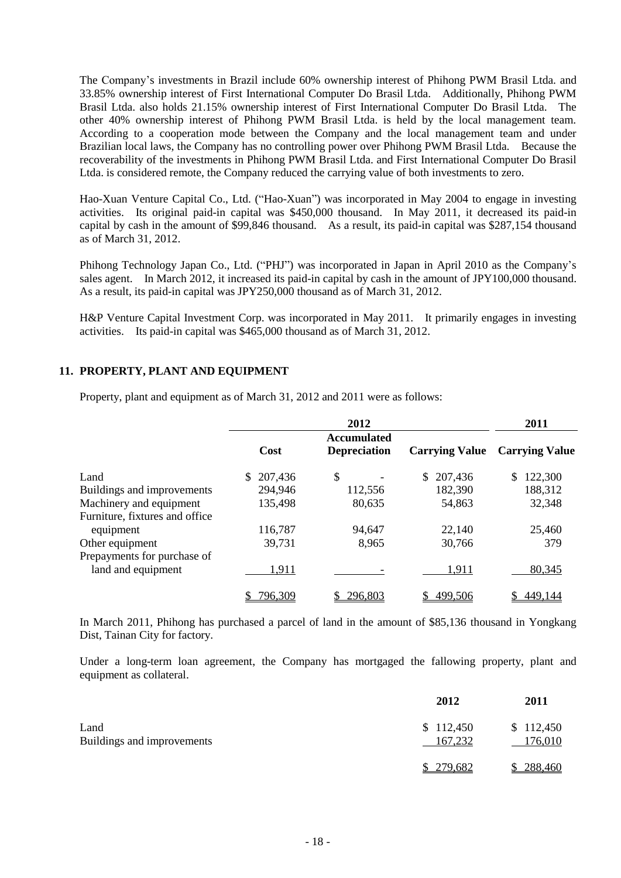The Company's investments in Brazil include 60% ownership interest of Phihong PWM Brasil Ltda. and 33.85% ownership interest of First International Computer Do Brasil Ltda. Additionally, Phihong PWM Brasil Ltda. also holds 21.15% ownership interest of First International Computer Do Brasil Ltda. The other 40% ownership interest of Phihong PWM Brasil Ltda. is held by the local management team. According to a cooperation mode between the Company and the local management team and under Brazilian local laws, the Company has no controlling power over Phihong PWM Brasil Ltda. Because the recoverability of the investments in Phihong PWM Brasil Ltda. and First International Computer Do Brasil Ltda. is considered remote, the Company reduced the carrying value of both investments to zero.

Hao-Xuan Venture Capital Co., Ltd. ("Hao-Xuan") was incorporated in May 2004 to engage in investing activities. Its original paid-in capital was \$450,000 thousand. In May 2011, it decreased its paid-in capital by cash in the amount of \$99,846 thousand. As a result, its paid-in capital was \$287,154 thousand as of March 31, 2012.

Phihong Technology Japan Co., Ltd. ("PHJ") was incorporated in Japan in April 2010 as the Company's sales agent. In March 2012, it increased its paid-in capital by cash in the amount of JPY100,000 thousand. As a result, its paid-in capital was JPY250,000 thousand as of March 31, 2012.

H&P Venture Capital Investment Corp. was incorporated in May 2011. It primarily engages in investing activities. Its paid-in capital was \$465,000 thousand as of March 31, 2012.

# **11. PROPERTY, PLANT AND EQUIPMENT**

Property, plant and equipment as of March 31, 2012 and 2011 were as follows:

|                                |                    | 2011                      |                       |                       |  |
|--------------------------------|--------------------|---------------------------|-----------------------|-----------------------|--|
|                                | <b>Accumulated</b> |                           |                       |                       |  |
|                                | Cost               | <b>Depreciation</b>       | <b>Carrying Value</b> | <b>Carrying Value</b> |  |
| Land                           | 207,436<br>S.      | $\boldsymbol{\mathsf{S}}$ | 207,436               | 122,300<br>S          |  |
| Buildings and improvements     | 294,946            | 112,556                   | 182,390               | 188,312               |  |
| Machinery and equipment        | 135,498            | 80,635                    | 54,863                | 32,348                |  |
| Furniture, fixtures and office |                    |                           |                       |                       |  |
| equipment                      | 116,787            | 94,647                    | 22,140                | 25,460                |  |
| Other equipment                | 39,731             | 8,965                     | 30,766                | 379                   |  |
| Prepayments for purchase of    |                    |                           |                       |                       |  |
| land and equipment             | 1,911              |                           | 1,911                 | 80,345                |  |
|                                | 796,309            | 296,803                   | 499,506               | 449,144               |  |

In March 2011, Phihong has purchased a parcel of land in the amount of \$85,136 thousand in Yongkang Dist, Tainan City for factory.

Under a long-term loan agreement, the Company has mortgaged the fallowing property, plant and equipment as collateral.

|                                    | 2012                 | 2011                 |
|------------------------------------|----------------------|----------------------|
| Land<br>Buildings and improvements | \$112,450<br>167,232 | \$112,450<br>176,010 |
|                                    | \$279,682            | \$288,460            |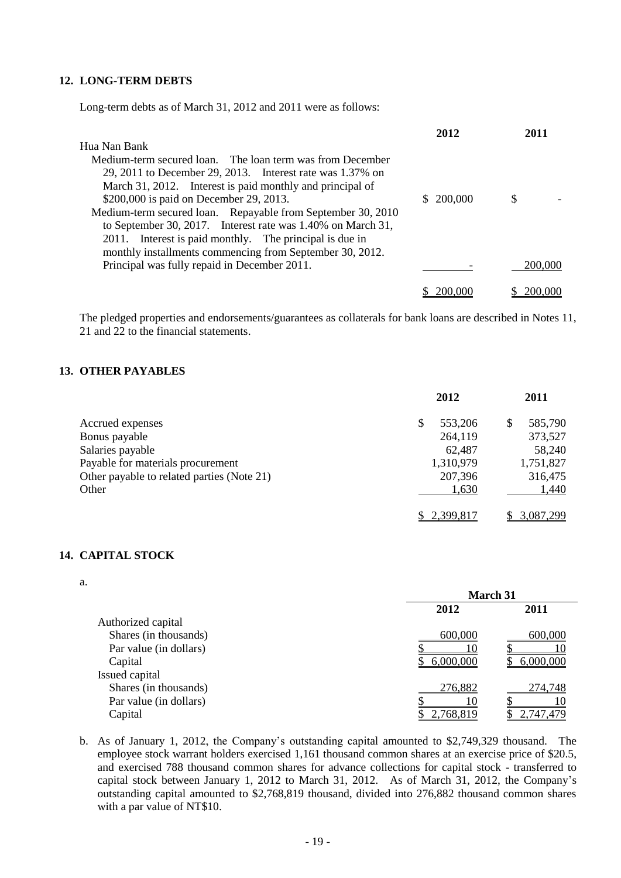## **12. LONG-TERM DEBTS**

Long-term debts as of March 31, 2012 and 2011 were as follows:

|                                                              | 2012           | 2011    |
|--------------------------------------------------------------|----------------|---------|
| Hua Nan Bank                                                 |                |         |
| Medium-term secured loan. The loan term was from December    |                |         |
| 29, 2011 to December 29, 2013. Interest rate was $1.37\%$ on |                |         |
| March 31, 2012. Interest is paid monthly and principal of    |                |         |
| \$200,000 is paid on December 29, 2013.                      | 200,000<br>SS. | \$.     |
| Medium-term secured loan. Repayable from September 30, 2010  |                |         |
| to September 30, 2017. Interest rate was 1.40% on March 31,  |                |         |
| 2011. Interest is paid monthly. The principal is due in      |                |         |
| monthly installments commencing from September 30, 2012.     |                |         |
| Principal was fully repaid in December 2011.                 |                | 200,000 |
|                                                              |                |         |
|                                                              |                | 200.000 |

The pledged properties and endorsements/guarantees as collaterals for bank loans are described in Notes 11, 21 and 22 to the financial statements.

# **13. OTHER PAYABLES**

|                                            | 2012          | 2011         |
|--------------------------------------------|---------------|--------------|
| Accrued expenses                           | \$<br>553,206 | 585,790<br>S |
| Bonus payable                              | 264,119       | 373,527      |
| Salaries payable                           | 62,487        | 58,240       |
| Payable for materials procurement          | 1,310,979     | 1,751,827    |
| Other payable to related parties (Note 21) | 207,396       | 316,475      |
| Other                                      | 1,630         | 1,440        |
|                                            | 2,399,817     | 3,087,299    |

## **14. CAPITAL STOCK**

a.

|                        | March 31  |                |
|------------------------|-----------|----------------|
|                        | 2012      | 2011           |
| Authorized capital     |           |                |
| Shares (in thousands)  | 600,000   | 600,000        |
| Par value (in dollars) |           |                |
| Capital                | 6,000,000 | 6,000,000      |
| Issued capital         |           |                |
| Shares (in thousands)  | 276,882   | <u>274,748</u> |
| Par value (in dollars) |           |                |
| Capital                | 2,768,819 | 2,747,479      |

b. As of January 1, 2012, the Company's outstanding capital amounted to \$2,749,329 thousand. The employee stock warrant holders exercised 1,161 thousand common shares at an exercise price of \$20.5, and exercised 788 thousand common shares for advance collections for capital stock - transferred to capital stock between January 1, 2012 to March 31, 2012. As of March 31, 2012, the Company's outstanding capital amounted to \$2,768,819 thousand, divided into 276,882 thousand common shares with a par value of NT\$10.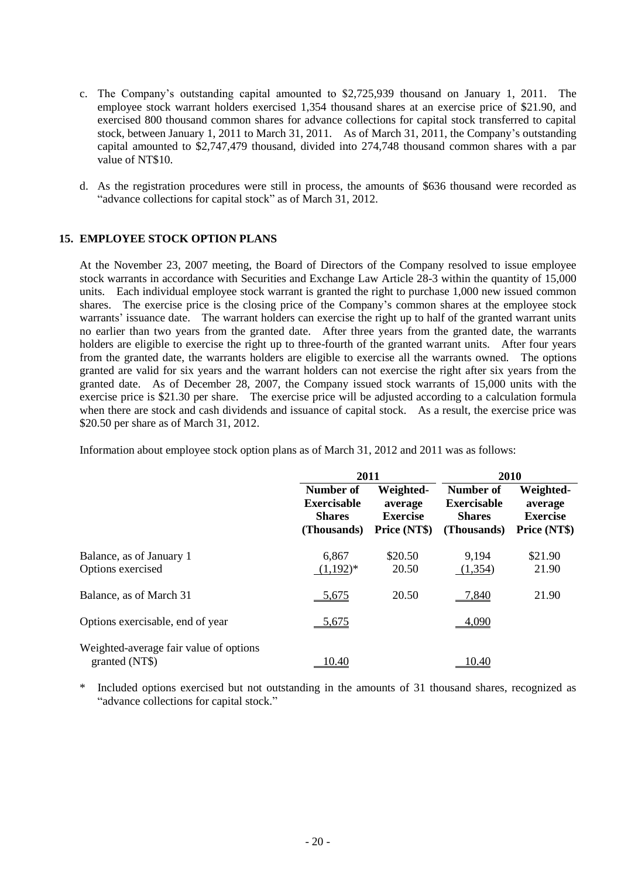- c. The Company's outstanding capital amounted to \$2,725,939 thousand on January 1, 2011. The employee stock warrant holders exercised 1,354 thousand shares at an exercise price of \$21.90, and exercised 800 thousand common shares for advance collections for capital stock transferred to capital stock, between January 1, 2011 to March 31, 2011. As of March 31, 2011, the Company's outstanding capital amounted to \$2,747,479 thousand, divided into 274,748 thousand common shares with a par value of NT\$10.
- d. As the registration procedures were still in process, the amounts of \$636 thousand were recorded as "advance collections for capital stock" as of March 31, 2012.

# **15. EMPLOYEE STOCK OPTION PLANS**

At the November 23, 2007 meeting, the Board of Directors of the Company resolved to issue employee stock warrants in accordance with Securities and Exchange Law Article 28-3 within the quantity of 15,000 units. Each individual employee stock warrant is granted the right to purchase 1,000 new issued common shares. The exercise price is the closing price of the Company's common shares at the employee stock warrants' issuance date. The warrant holders can exercise the right up to half of the granted warrant units no earlier than two years from the granted date. After three years from the granted date, the warrants holders are eligible to exercise the right up to three-fourth of the granted warrant units. After four years from the granted date, the warrants holders are eligible to exercise all the warrants owned. The options granted are valid for six years and the warrant holders can not exercise the right after six years from the granted date. As of December 28, 2007, the Company issued stock warrants of 15,000 units with the exercise price is \$21.30 per share. The exercise price will be adjusted according to a calculation formula when there are stock and cash dividends and issuance of capital stock. As a result, the exercise price was \$20.50 per share as of March 31, 2012.

Information about employee stock option plans as of March 31, 2012 and 2011 was as follows:

|                                                          |                                                                 | 2011                                                    |                                                                 | 2010                                                    |
|----------------------------------------------------------|-----------------------------------------------------------------|---------------------------------------------------------|-----------------------------------------------------------------|---------------------------------------------------------|
|                                                          | Number of<br><b>Exercisable</b><br><b>Shares</b><br>(Thousands) | Weighted-<br>average<br><b>Exercise</b><br>Price (NT\$) | Number of<br><b>Exercisable</b><br><b>Shares</b><br>(Thousands) | Weighted-<br>average<br><b>Exercise</b><br>Price (NT\$) |
| Balance, as of January 1<br>Options exercised            | 6,867<br>$(1,192)^*$                                            | \$20.50<br>20.50                                        | 9,194<br>(1,354)                                                | \$21.90<br>21.90                                        |
| Balance, as of March 31                                  | 5,675                                                           | 20.50                                                   | 7,840                                                           | 21.90                                                   |
| Options exercisable, end of year                         | 5,675                                                           |                                                         | 4,090                                                           |                                                         |
| Weighted-average fair value of options<br>granted (NT\$) | 10.40                                                           |                                                         | 10.40                                                           |                                                         |

\* Included options exercised but not outstanding in the amounts of 31 thousand shares, recognized as "advance collections for capital stock."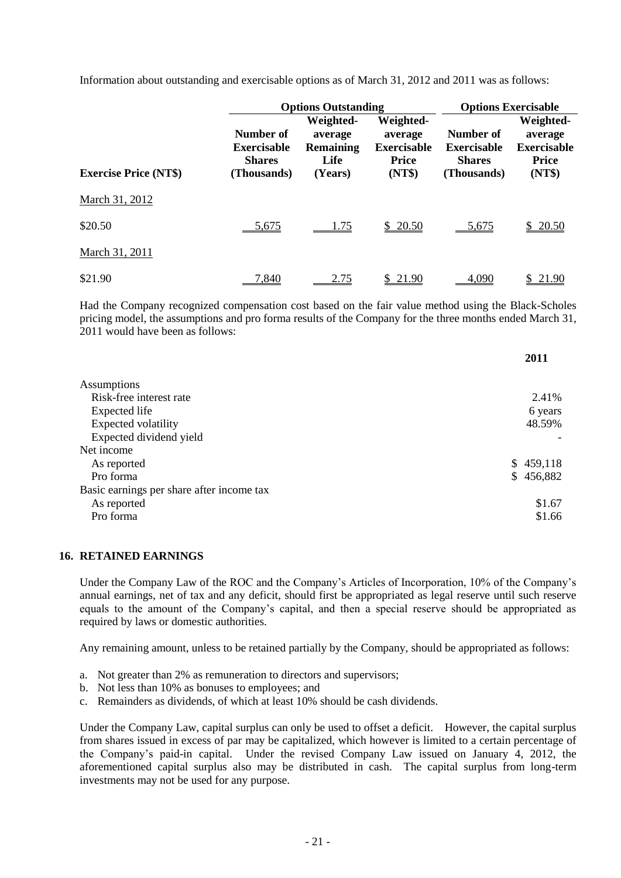Information about outstanding and exercisable options as of March 31, 2012 and 2011 was as follows:

|                              |                                                                 | <b>Options Outstanding</b>                                  |                                                                      |                                                                        | <b>Options Exercisable</b>                                           |  |  |
|------------------------------|-----------------------------------------------------------------|-------------------------------------------------------------|----------------------------------------------------------------------|------------------------------------------------------------------------|----------------------------------------------------------------------|--|--|
| <b>Exercise Price (NT\$)</b> | Number of<br><b>Exercisable</b><br><b>Shares</b><br>(Thousands) | Weighted-<br>average<br><b>Remaining</b><br>Life<br>(Years) | Weighted-<br>average<br><b>Exercisable</b><br><b>Price</b><br>(NT\$) | <b>Number of</b><br><b>Exercisable</b><br><b>Shares</b><br>(Thousands) | Weighted-<br>average<br><b>Exercisable</b><br><b>Price</b><br>(NT\$) |  |  |
| March 31, 2012               |                                                                 |                                                             |                                                                      |                                                                        |                                                                      |  |  |
| \$20.50                      | 5,675                                                           | 1.75                                                        | \$20.50                                                              | 5,675                                                                  | \$20.50                                                              |  |  |
| March 31, 2011               |                                                                 |                                                             |                                                                      |                                                                        |                                                                      |  |  |
| \$21.90                      | 7,840                                                           | 2.75                                                        | 21.90<br>S                                                           | 4,090                                                                  | 21.90                                                                |  |  |

Had the Company recognized compensation cost based on the fair value method using the Black-Scholes pricing model, the assumptions and pro forma results of the Company for the three months ended March 31, 2011 would have been as follows:

|                                           | 2011      |
|-------------------------------------------|-----------|
| Assumptions                               |           |
| Risk-free interest rate                   | 2.41%     |
| Expected life                             | 6 years   |
| Expected volatility                       | 48.59%    |
| Expected dividend yield                   |           |
| Net income                                |           |
| As reported                               | \$459,118 |
| Pro forma                                 | \$456,882 |
| Basic earnings per share after income tax |           |
| As reported                               | \$1.67    |
| Pro forma                                 | \$1.66    |

### **16. RETAINED EARNINGS**

Under the Company Law of the ROC and the Company's Articles of Incorporation, 10% of the Company's annual earnings, net of tax and any deficit, should first be appropriated as legal reserve until such reserve equals to the amount of the Company's capital, and then a special reserve should be appropriated as required by laws or domestic authorities.

Any remaining amount, unless to be retained partially by the Company, should be appropriated as follows:

- a. Not greater than 2% as remuneration to directors and supervisors;
- b. Not less than 10% as bonuses to employees; and
- c. Remainders as dividends, of which at least 10% should be cash dividends.

Under the Company Law, capital surplus can only be used to offset a deficit. However, the capital surplus from shares issued in excess of par may be capitalized, which however is limited to a certain percentage of the Company's paid-in capital. Under the revised Company Law issued on January 4, 2012, the aforementioned capital surplus also may be distributed in cash. The capital surplus from long-term investments may not be used for any purpose.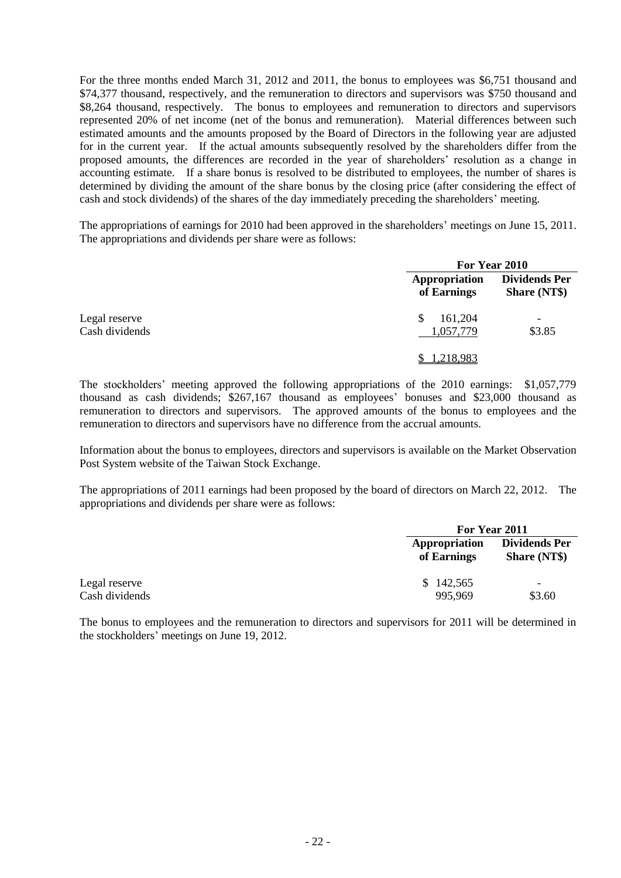For the three months ended March 31, 2012 and 2011, the bonus to employees was \$6,751 thousand and \$74,377 thousand, respectively, and the remuneration to directors and supervisors was \$750 thousand and \$8,264 thousand, respectively. The bonus to employees and remuneration to directors and supervisors represented 20% of net income (net of the bonus and remuneration). Material differences between such estimated amounts and the amounts proposed by the Board of Directors in the following year are adjusted for in the current year. If the actual amounts subsequently resolved by the shareholders differ from the proposed amounts, the differences are recorded in the year of shareholders' resolution as a change in accounting estimate. If a share bonus is resolved to be distributed to employees, the number of shares is determined by dividing the amount of the share bonus by the closing price (after considering the effect of cash and stock dividends) of the shares of the day immediately preceding the shareholders' meeting.

The appropriations of earnings for 2010 had been approved in the shareholders' meetings on June 15, 2011. The appropriations and dividends per share were as follows:

|                                 | For Year 2010                |                                             |  |  |
|---------------------------------|------------------------------|---------------------------------------------|--|--|
|                                 | Appropriation<br>of Earnings | <b>Dividends Per</b><br><b>Share (NT\$)</b> |  |  |
| Legal reserve<br>Cash dividends | 161,204<br>S<br>1,057,779    | $\overline{\phantom{0}}$<br>\$3.85          |  |  |
|                                 | 1,218,983                    |                                             |  |  |

The stockholders' meeting approved the following appropriations of the 2010 earnings: \$1,057,779 thousand as cash dividends; \$267,167 thousand as employees' bonuses and \$23,000 thousand as remuneration to directors and supervisors. The approved amounts of the bonus to employees and the remuneration to directors and supervisors have no difference from the accrual amounts.

Information about the bonus to employees, directors and supervisors is available on the Market Observation Post System website of the Taiwan Stock Exchange.

The appropriations of 2011 earnings had been proposed by the board of directors on March 22, 2012. The appropriations and dividends per share were as follows:

|                |                              | For Year 2011                               |  |  |
|----------------|------------------------------|---------------------------------------------|--|--|
|                | Appropriation<br>of Earnings | <b>Dividends Per</b><br><b>Share (NT\$)</b> |  |  |
| Legal reserve  | \$142,565                    | $\overline{\phantom{0}}$                    |  |  |
| Cash dividends | 995,969                      | \$3.60                                      |  |  |

The bonus to employees and the remuneration to directors and supervisors for 2011 will be determined in the stockholders' meetings on June 19, 2012.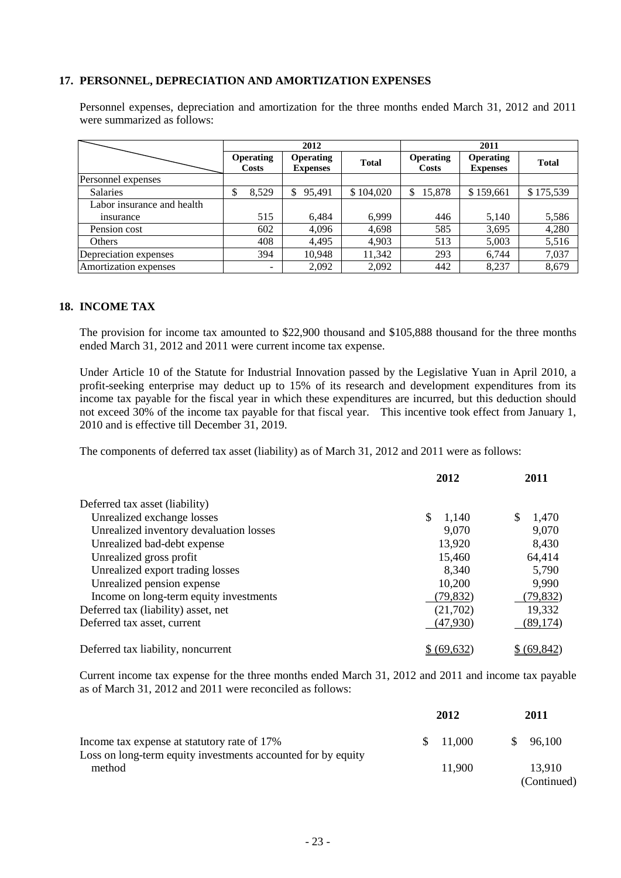## **17. PERSONNEL, DEPRECIATION AND AMORTIZATION EXPENSES**

|                            |                           | 2012                                |              | 2011                      |                                     |              |  |
|----------------------------|---------------------------|-------------------------------------|--------------|---------------------------|-------------------------------------|--------------|--|
|                            | <b>Operating</b><br>Costs | <b>Operating</b><br><b>Expenses</b> | <b>Total</b> | <b>Operating</b><br>Costs | <b>Operating</b><br><b>Expenses</b> | <b>Total</b> |  |
| Personnel expenses         |                           |                                     |              |                           |                                     |              |  |
| <b>Salaries</b>            | 8,529<br>\$               | \$<br>95,491                        | \$104,020    | 15,878<br>\$              | \$159,661                           | \$175,539    |  |
| Labor insurance and health |                           |                                     |              |                           |                                     |              |  |
| insurance                  | 515                       | 6,484                               | 6.999        | 446                       | 5,140                               | 5,586        |  |
| Pension cost               | 602                       | 4.096                               | 4,698        | 585                       | 3,695                               | 4,280        |  |
| Others                     | 408                       | 4.495                               | 4,903        | 513                       | 5,003                               | 5,516        |  |
| Depreciation expenses      | 394                       | 10.948                              | 11,342       | 293                       | 6,744                               | 7,037        |  |
| Amortization expenses      | $\overline{\phantom{0}}$  | 2,092                               | 2,092        | 442                       | 8,237                               | 8,679        |  |

Personnel expenses, depreciation and amortization for the three months ended March 31, 2012 and 2011 were summarized as follows:

# **18. INCOME TAX**

The provision for income tax amounted to \$22,900 thousand and \$105,888 thousand for the three months ended March 31, 2012 and 2011 were current income tax expense.

Under Article 10 of the Statute for Industrial Innovation passed by the Legislative Yuan in April 2010, a profit-seeking enterprise may deduct up to 15% of its research and development expenditures from its income tax payable for the fiscal year in which these expenditures are incurred, but this deduction should not exceed 30% of the income tax payable for that fiscal year. This incentive took effect from January 1, 2010 and is effective till December 31, 2019.

The components of deferred tax asset (liability) as of March 31, 2012 and 2011 were as follows:

|                                         | 2012         | 2011         |  |
|-----------------------------------------|--------------|--------------|--|
| Deferred tax asset (liability)          |              |              |  |
| Unrealized exchange losses              | \$.<br>1.140 | S<br>1.470   |  |
| Unrealized inventory devaluation losses | 9,070        | 9,070        |  |
| Unrealized bad-debt expense             | 13,920       | 8,430        |  |
| Unrealized gross profit                 | 15,460       | 64,414       |  |
| Unrealized export trading losses        | 8,340        | 5,790        |  |
| Unrealized pension expense              | 10,200       | 9,990        |  |
| Income on long-term equity investments  | (79, 832)    | (79, 832)    |  |
| Deferred tax (liability) asset, net     | (21,702)     | 19,332       |  |
| Deferred tax asset, current             | (47,930)     | (89, 174)    |  |
| Deferred tax liability, noncurrent      | \$ (69.632)  | \$ (69, 842) |  |

Current income tax expense for the three months ended March 31, 2012 and 2011 and income tax payable as of March 31, 2012 and 2011 were reconciled as follows:

|                                                                        | 2012     | 2011                  |
|------------------------------------------------------------------------|----------|-----------------------|
| Income tax expense at statutory rate of 17%                            | \$11,000 | \$96,100              |
| Loss on long-term equity investments accounted for by equity<br>method | 11.900   | 13.910<br>(Continued) |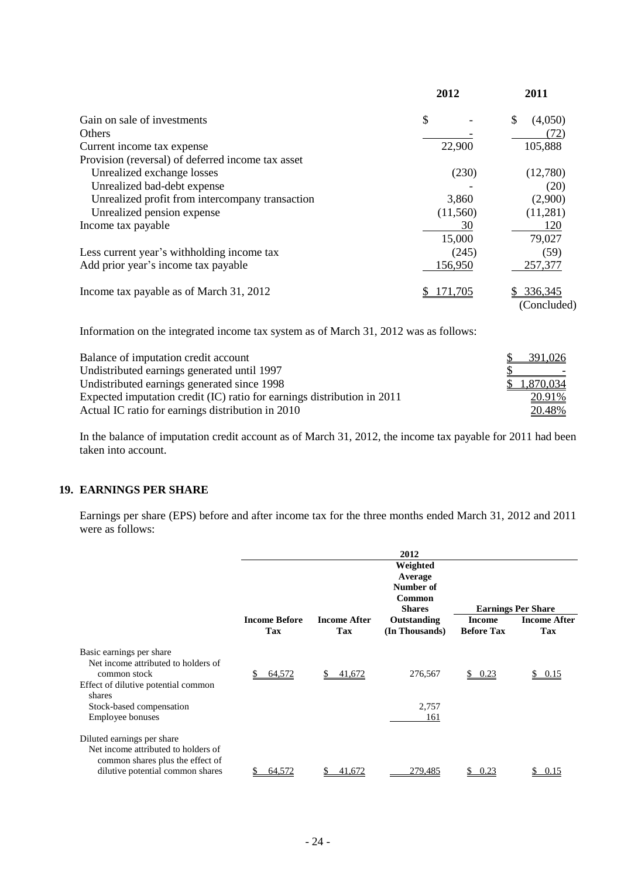|                                                   | 2012     | 2011          |
|---------------------------------------------------|----------|---------------|
| Gain on sale of investments                       | \$       | \$<br>(4,050) |
| <b>Others</b>                                     |          | (72)          |
| Current income tax expense                        | 22,900   | 105,888       |
| Provision (reversal) of deferred income tax asset |          |               |
| Unrealized exchange losses                        | (230)    | (12,780)      |
| Unrealized bad-debt expense                       |          | (20)          |
| Unrealized profit from intercompany transaction   | 3,860    | (2,900)       |
| Unrealized pension expense                        | (11,560) | (11,281)      |
| Income tax payable                                | 30       | 120           |
|                                                   | 15,000   | 79,027        |
| Less current year's withholding income tax        | (245)    | (59)          |
| Add prior year's income tax payable               | 156,950  | 257,377       |
| Income tax payable as of March 31, 2012           | 71.705   | 336,345       |
|                                                   |          | (Concluded)   |

Information on the integrated income tax system as of March 31, 2012 was as follows:

| Balance of imputation credit account                                    | 391,026     |
|-------------------------------------------------------------------------|-------------|
| Undistributed earnings generated until 1997                             |             |
| Undistributed earnings generated since 1998                             | \$1,870,034 |
| Expected imputation credit (IC) ratio for earnings distribution in 2011 | 20.91%      |
| Actual IC ratio for earnings distribution in 2010                       | 20.48%      |

In the balance of imputation credit account as of March 31, 2012, the income tax payable for 2011 had been taken into account.

# **19. EARNINGS PER SHARE**

Earnings per share (EPS) before and after income tax for the three months ended March 31, 2012 and 2011 were as follows:

|                                                                                                                                           |                             |                            | 2012<br>Weighted<br>Average<br>Number of<br>Common<br><b>Shares</b> |                                    | <b>Earnings Per Share</b>         |
|-------------------------------------------------------------------------------------------------------------------------------------------|-----------------------------|----------------------------|---------------------------------------------------------------------|------------------------------------|-----------------------------------|
|                                                                                                                                           | <b>Income Before</b><br>Tax | <b>Income After</b><br>Tax | Outstanding<br>(In Thousands)                                       | <b>Income</b><br><b>Before Tax</b> | <b>Income After</b><br><b>Tax</b> |
| Basic earnings per share<br>Net income attributed to holders of<br>common stock<br>Effect of dilutive potential common                    | 64,572                      | 41,672                     | 276,567                                                             | \$0.23                             | 0.15                              |
| shares<br>Stock-based compensation<br><b>Employee bonuses</b>                                                                             |                             |                            | 2,757<br>161                                                        |                                    |                                   |
| Diluted earnings per share<br>Net income attributed to holders of<br>common shares plus the effect of<br>dilutive potential common shares | <u>64,572</u>               | 41,672                     | 279,485                                                             | 0.23                               | 0.15                              |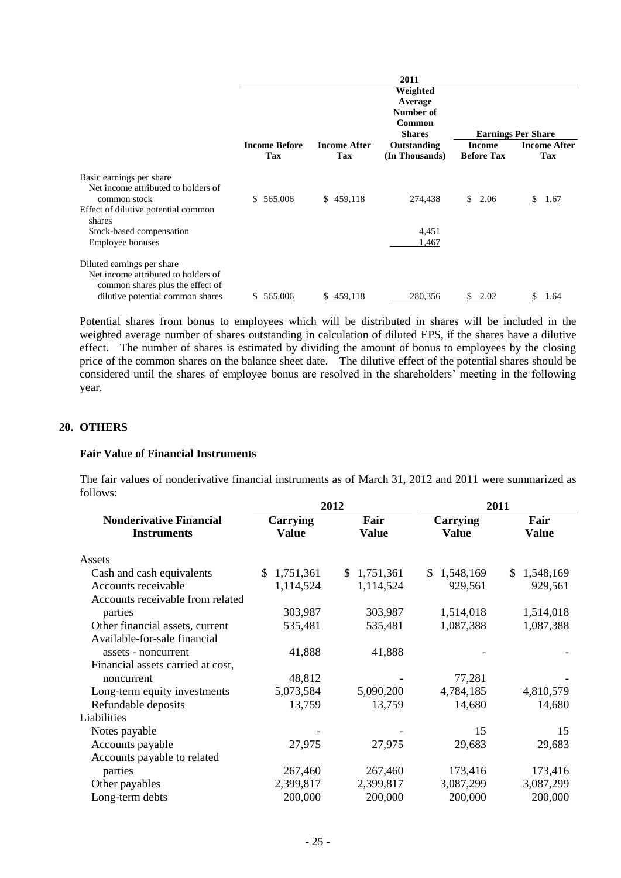|                                                                                                                                           |                             |                            | 2011<br>Weighted<br>Average<br>Number of<br>Common<br><b>Shares</b> |                                    | <b>Earnings Per Share</b>         |
|-------------------------------------------------------------------------------------------------------------------------------------------|-----------------------------|----------------------------|---------------------------------------------------------------------|------------------------------------|-----------------------------------|
|                                                                                                                                           | <b>Income Before</b><br>Tax | <b>Income After</b><br>Tax | Outstanding<br>(In Thousands)                                       | <b>Income</b><br><b>Before Tax</b> | <b>Income After</b><br><b>Tax</b> |
| Basic earnings per share<br>Net income attributed to holders of<br>common stock<br>Effect of dilutive potential common                    | \$565,006                   | \$459,118                  | 274,438                                                             | \$2.06                             | 1.67                              |
| shares<br>Stock-based compensation<br>Employee bonuses                                                                                    |                             |                            | 4,451<br>1,467                                                      |                                    |                                   |
| Diluted earnings per share<br>Net income attributed to holders of<br>common shares plus the effect of<br>dilutive potential common shares | \$565,006                   | 459,118                    | 280,356                                                             | 2.02                               |                                   |

Potential shares from bonus to employees which will be distributed in shares will be included in the weighted average number of shares outstanding in calculation of diluted EPS, if the shares have a dilutive effect. The number of shares is estimated by dividing the amount of bonus to employees by the closing price of the common shares on the balance sheet date. The dilutive effect of the potential shares should be considered until the shares of employee bonus are resolved in the shareholders' meeting in the following year.

# **20. OTHERS**

### **Fair Value of Financial Instruments**

The fair values of nonderivative financial instruments as of March 31, 2012 and 2011 were summarized as follows:

|                                                      |                          | 2012                 | 2011                            |                      |  |
|------------------------------------------------------|--------------------------|----------------------|---------------------------------|----------------------|--|
| <b>Nonderivative Financial</b><br><b>Instruments</b> | Carrying<br><b>Value</b> | Fair<br><b>Value</b> | <b>Carrying</b><br><b>Value</b> | Fair<br><b>Value</b> |  |
| Assets                                               |                          |                      |                                 |                      |  |
| Cash and cash equivalents                            | \$1,751,361              | \$1,751,361          | \$1,548,169                     | \$1,548,169          |  |
| Accounts receivable                                  | 1,114,524                | 1,114,524            | 929,561                         | 929,561              |  |
| Accounts receivable from related                     |                          |                      |                                 |                      |  |
| parties                                              | 303,987                  | 303,987              | 1,514,018                       | 1,514,018            |  |
| Other financial assets, current                      | 535,481                  | 535,481              | 1,087,388                       | 1,087,388            |  |
| Available-for-sale financial                         |                          |                      |                                 |                      |  |
| assets - noncurrent                                  | 41,888                   | 41,888               |                                 |                      |  |
| Financial assets carried at cost,                    |                          |                      |                                 |                      |  |
| noncurrent                                           | 48,812                   |                      | 77,281                          |                      |  |
| Long-term equity investments                         | 5,073,584                | 5,090,200            | 4,784,185                       | 4,810,579            |  |
| Refundable deposits                                  | 13,759                   | 13,759               | 14,680                          | 14,680               |  |
| Liabilities                                          |                          |                      |                                 |                      |  |
| Notes payable                                        |                          |                      | 15                              | 15                   |  |
| Accounts payable                                     | 27,975                   | 27,975               | 29,683                          | 29,683               |  |
| Accounts payable to related                          |                          |                      |                                 |                      |  |
| parties                                              | 267,460                  | 267,460              | 173,416                         | 173,416              |  |
| Other payables                                       | 2,399,817                | 2,399,817            | 3,087,299                       | 3,087,299            |  |
| Long-term debts                                      | 200,000                  | 200,000              | 200,000                         | 200,000              |  |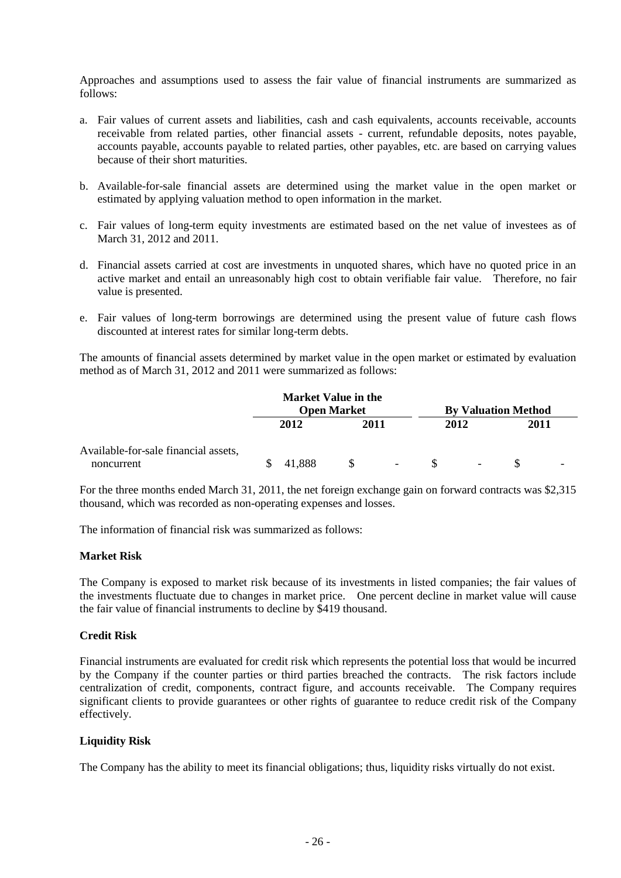Approaches and assumptions used to assess the fair value of financial instruments are summarized as follows:

- a. Fair values of current assets and liabilities, cash and cash equivalents, accounts receivable, accounts receivable from related parties, other financial assets - current, refundable deposits, notes payable, accounts payable, accounts payable to related parties, other payables, etc. are based on carrying values because of their short maturities.
- b. Available-for-sale financial assets are determined using the market value in the open market or estimated by applying valuation method to open information in the market.
- c. Fair values of long-term equity investments are estimated based on the net value of investees as of March 31, 2012 and 2011.
- d. Financial assets carried at cost are investments in unquoted shares, which have no quoted price in an active market and entail an unreasonably high cost to obtain verifiable fair value. Therefore, no fair value is presented.
- e. Fair values of long-term borrowings are determined using the present value of future cash flows discounted at interest rates for similar long-term debts.

The amounts of financial assets determined by market value in the open market or estimated by evaluation method as of March 31, 2012 and 2011 were summarized as follows:

|                                      |               | <b>Market Value in the</b> |      |                            |
|--------------------------------------|---------------|----------------------------|------|----------------------------|
|                                      |               | <b>Open Market</b>         |      | <b>By Valuation Method</b> |
|                                      | 2012          | 2011                       | 2012 | 2011                       |
| Available-for-sale financial assets, |               |                            |      |                            |
| noncurrent                           | 41,888<br>SS. | $\blacksquare$             |      | $\overline{\phantom{a}}$   |

For the three months ended March 31, 2011, the net foreign exchange gain on forward contracts was \$2,315 thousand, which was recorded as non-operating expenses and losses.

The information of financial risk was summarized as follows:

### **Market Risk**

The Company is exposed to market risk because of its investments in listed companies; the fair values of the investments fluctuate due to changes in market price. One percent decline in market value will cause the fair value of financial instruments to decline by \$419 thousand.

### **Credit Risk**

Financial instruments are evaluated for credit risk which represents the potential loss that would be incurred by the Company if the counter parties or third parties breached the contracts. The risk factors include centralization of credit, components, contract figure, and accounts receivable. The Company requires significant clients to provide guarantees or other rights of guarantee to reduce credit risk of the Company effectively.

# **Liquidity Risk**

The Company has the ability to meet its financial obligations; thus, liquidity risks virtually do not exist.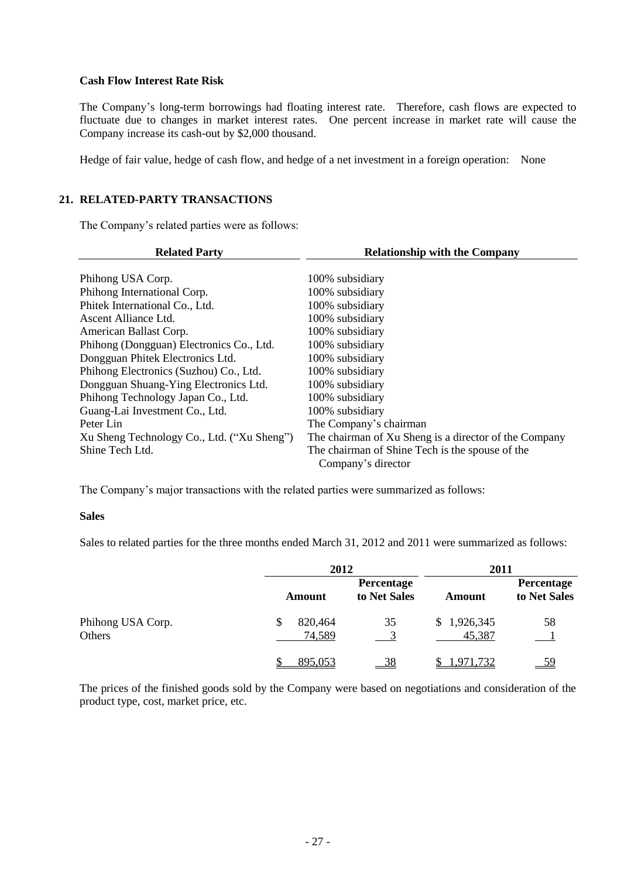#### **Cash Flow Interest Rate Risk**

The Company's long-term borrowings had floating interest rate. Therefore, cash flows are expected to fluctuate due to changes in market interest rates. One percent increase in market rate will cause the Company increase its cash-out by \$2,000 thousand.

Hedge of fair value, hedge of cash flow, and hedge of a net investment in a foreign operation: None

# **21. RELATED-PARTY TRANSACTIONS**

The Company's related parties were as follows:

| <b>Related Party</b>                       | <b>Relationship with the Company</b>                  |
|--------------------------------------------|-------------------------------------------------------|
|                                            |                                                       |
| Phihong USA Corp.                          | 100% subsidiary                                       |
| Phihong International Corp.                | 100% subsidiary                                       |
| Phitek International Co., Ltd.             | 100% subsidiary                                       |
| Ascent Alliance Ltd.                       | 100% subsidiary                                       |
| American Ballast Corp.                     | 100% subsidiary                                       |
| Phihong (Dongguan) Electronics Co., Ltd.   | 100% subsidiary                                       |
| Dongguan Phitek Electronics Ltd.           | 100% subsidiary                                       |
| Phihong Electronics (Suzhou) Co., Ltd.     | 100% subsidiary                                       |
| Dongguan Shuang-Ying Electronics Ltd.      | 100% subsidiary                                       |
| Phihong Technology Japan Co., Ltd.         | 100% subsidiary                                       |
| Guang-Lai Investment Co., Ltd.             | 100% subsidiary                                       |
| Peter Lin                                  | The Company's chairman                                |
| Xu Sheng Technology Co., Ltd. ("Xu Sheng") | The chairman of Xu Sheng is a director of the Company |
| Shine Tech Ltd.                            | The chairman of Shine Tech is the spouse of the       |
|                                            | Company's director                                    |

The Company's major transactions with the related parties were summarized as follows:

#### **Sales**

Sales to related parties for the three months ended March 31, 2012 and 2011 were summarized as follows:

|                             | 2012              |                            | 2011                  |                            |
|-----------------------------|-------------------|----------------------------|-----------------------|----------------------------|
|                             | <b>Amount</b>     | Percentage<br>to Net Sales | <b>Amount</b>         | Percentage<br>to Net Sales |
| Phihong USA Corp.<br>Others | 820,464<br>74,589 | 35                         | \$1,926,345<br>45,387 | 58                         |
|                             | 895,053           | <u>38</u>                  | 1,971,732             | <u>59</u>                  |

The prices of the finished goods sold by the Company were based on negotiations and consideration of the product type, cost, market price, etc.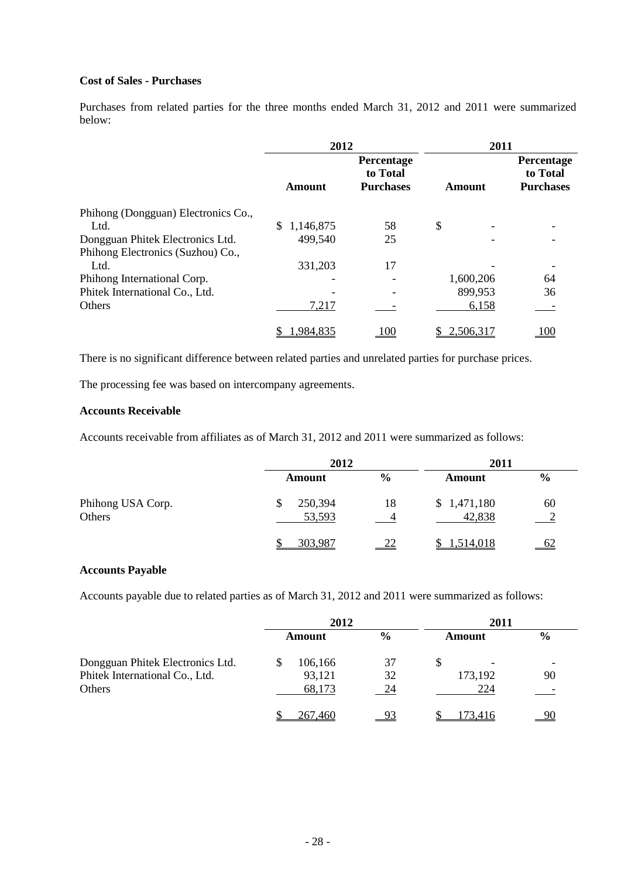# **Cost of Sales - Purchases**

Purchases from related parties for the three months ended March 31, 2012 and 2011 were summarized below:

|                                     | 2012            |                                                   | 2011      |                                            |
|-------------------------------------|-----------------|---------------------------------------------------|-----------|--------------------------------------------|
|                                     | Amount          | <b>Percentage</b><br>to Total<br><b>Purchases</b> | Amount    | Percentage<br>to Total<br><b>Purchases</b> |
| Phihong (Dongguan) Electronics Co., |                 |                                                   |           |                                            |
| Ltd.                                | \$1,146,875     | 58                                                | \$        |                                            |
| Dongguan Phitek Electronics Ltd.    | 499,540         | 25                                                |           |                                            |
| Phihong Electronics (Suzhou) Co.,   |                 |                                                   |           |                                            |
| Ltd.                                | 331,203         | 17                                                |           |                                            |
| Phihong International Corp.         |                 |                                                   | 1,600,206 | 64                                         |
| Phitek International Co., Ltd.      |                 |                                                   | 899,953   | 36                                         |
| Others                              | 7,217           |                                                   | 6,158     |                                            |
|                                     | <u>984,835,</u> | 100                                               | 2,506,317 | <u>100</u>                                 |

There is no significant difference between related parties and unrelated parties for purchase prices.

The processing fee was based on intercompany agreements.

#### **Accounts Receivable**

Accounts receivable from affiliates as of March 31, 2012 and 2011 were summarized as follows:

|                             | 2012              |               | 2011                  |               |
|-----------------------------|-------------------|---------------|-----------------------|---------------|
|                             | Amount            | $\frac{6}{9}$ | Amount                | $\frac{6}{9}$ |
| Phihong USA Corp.<br>Others | 250,394<br>53,593 | 18            | \$1,471,180<br>42,838 | 60            |
|                             | 303,987           | 22            | 1,514,018             | <u>62</u>     |

# **Accounts Payable**

Accounts payable due to related parties as of March 31, 2012 and 2011 were summarized as follows:

|                                  | 2012 |         | 2011          |   |         |               |
|----------------------------------|------|---------|---------------|---|---------|---------------|
|                                  |      | Amount  | $\frac{0}{0}$ |   | Amount  | $\frac{6}{9}$ |
| Dongguan Phitek Electronics Ltd. |      | 106,166 | 37            | S |         |               |
| Phitek International Co., Ltd.   |      | 93,121  | 32            |   | 173,192 | 90            |
| Others                           |      | 68,173  | 24            |   | 224     |               |
|                                  |      | 267,460 | 93            |   | 173.416 | 90            |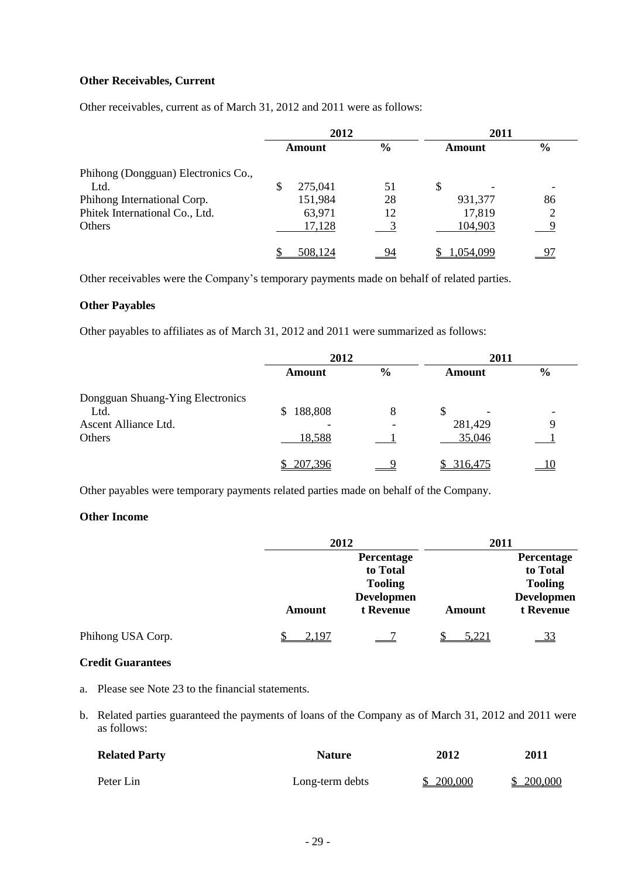# **Other Receivables, Current**

Other receivables, current as of March 31, 2012 and 2011 were as follows:

|                                     | 2012   |         | 2011          |        |          |               |
|-------------------------------------|--------|---------|---------------|--------|----------|---------------|
|                                     | Amount |         | $\frac{0}{0}$ | Amount |          | $\frac{0}{0}$ |
| Phihong (Dongguan) Electronics Co., |        |         |               |        |          |               |
| Ltd.                                | S      | 275,041 | 51            | \$     |          |               |
| Phihong International Corp.         |        | 151,984 | 28            |        | 931,377  | 86            |
| Phitek International Co., Ltd.      |        | 63,971  | 12            |        | 17,819   |               |
| Others                              |        | 17,128  |               |        | 104,903  |               |
|                                     |        | 508.124 |               |        | .054.099 |               |

Other receivables were the Company's temporary payments made on behalf of related parties.

# **Other Payables**

Other payables to affiliates as of March 31, 2012 and 2011 were summarized as follows:

|                                  | 2012                    |                          | 2011      |               |
|----------------------------------|-------------------------|--------------------------|-----------|---------------|
|                                  | $\frac{6}{6}$<br>Amount |                          | Amount    | $\frac{6}{6}$ |
| Dongguan Shuang-Ying Electronics |                         |                          |           |               |
| Ltd.                             | 188,808<br>S.           | 8                        | S         |               |
| Ascent Alliance Ltd.             |                         | $\overline{\phantom{0}}$ | 281,429   |               |
| Others                           | 18,588                  |                          | 35,046    |               |
|                                  | 207,396                 |                          | \$316,475 |               |

Other payables were temporary payments related parties made on behalf of the Company.

# **Other Income**

|                   |               | 2012              |        | 2011              |
|-------------------|---------------|-------------------|--------|-------------------|
|                   |               | Percentage        |        | Percentage        |
|                   |               | to Total          |        | to Total          |
|                   |               | <b>Tooling</b>    |        | <b>Tooling</b>    |
|                   |               | <b>Developmen</b> |        | <b>Developmen</b> |
|                   | <b>Amount</b> | t Revenue         | Amount | t Revenue         |
| Phihong USA Corp. | 2,197         |                   | 5,221  |                   |

# **Credit Guarantees**

- a. Please see Note 23 to the financial statements.
- b. Related parties guaranteed the payments of loans of the Company as of March 31, 2012 and 2011 were as follows:

| <b>Related Party</b> | <b>Nature</b>   | 2012      | 2011      |
|----------------------|-----------------|-----------|-----------|
| Peter Lin            | Long-term debts | \$200,000 | \$200,000 |